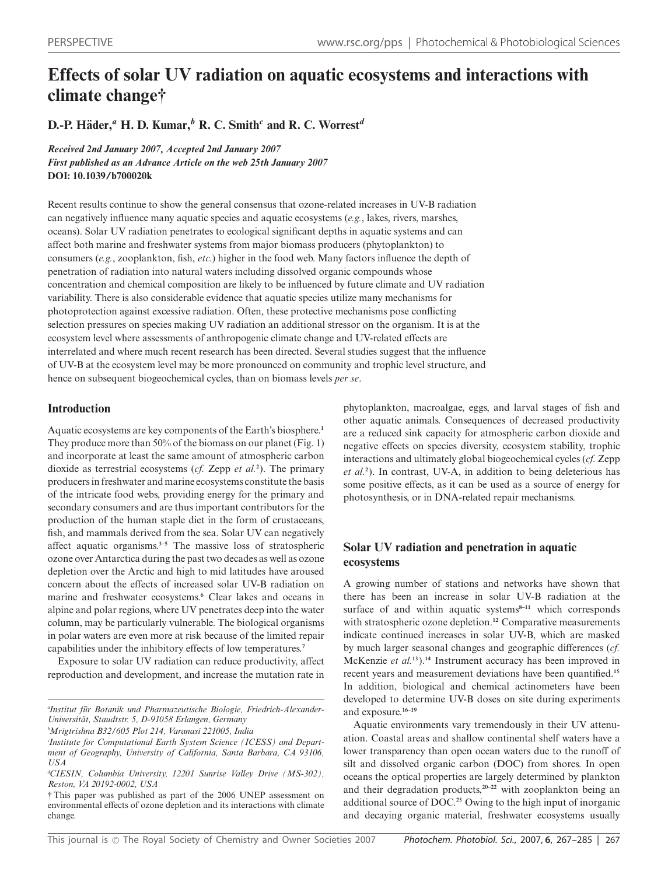# **Effects of solar UV radiation on aquatic ecosystems and interactions with climate change†**

**D.-P.** Häder,<sup> $a$ </sup> H. D. Kumar,<sup> $b$ </sup> R. C. Smith<sup>*c*</sup> and R. C. Worrest<sup> $d$ </sup>

*Received 2nd January 2007, Accepted 2nd January 2007 First published as an Advance Article on the web 25th January 2007* **DOI: 10.1039/b700020k**

Recent results continue to show the general consensus that ozone-related increases in UV-B radiation can negatively influence many aquatic species and aquatic ecosystems (*e.g.*, lakes, rivers, marshes, oceans). Solar UV radiation penetrates to ecological significant depths in aquatic systems and can affect both marine and freshwater systems from major biomass producers (phytoplankton) to consumers (*e.g.*, zooplankton, fish, *etc.*) higher in the food web. Many factors influence the depth of penetration of radiation into natural waters including dissolved organic compounds whose concentration and chemical composition are likely to be influenced by future climate and UV radiation variability. There is also considerable evidence that aquatic species utilize many mechanisms for photoprotection against excessive radiation. Often, these protective mechanisms pose conflicting selection pressures on species making UV radiation an additional stressor on the organism. It is at the ecosystem level where assessments of anthropogenic climate change and UV-related effects are interrelated and where much recent research has been directed. Several studies suggest that the influence of UV-B at the ecosystem level may be more pronounced on community and trophic level structure, and hence on subsequent biogeochemical cycles, than on biomass levels *per se*.

# **Introduction**

Aquatic ecosystems are key components of the Earth's biosphere.**<sup>1</sup>** They produce more than 50% of the biomass on our planet (Fig. 1) and incorporate at least the same amount of atmospheric carbon dioxide as terrestrial ecosystems (*cf.* Zepp *et al.***<sup>2</sup>** ). The primary producers in freshwater and marine ecosystems constitute the basis of the intricate food webs, providing energy for the primary and secondary consumers and are thus important contributors for the production of the human staple diet in the form of crustaceans, fish, and mammals derived from the sea. Solar UV can negatively affect aquatic organisms.**3–5** The massive loss of stratospheric ozone over Antarctica during the past two decades as well as ozone depletion over the Arctic and high to mid latitudes have aroused concern about the effects of increased solar UV-B radiation on marine and freshwater ecosystems.**<sup>6</sup>** Clear lakes and oceans in alpine and polar regions, where UV penetrates deep into the water column, may be particularly vulnerable. The biological organisms in polar waters are even more at risk because of the limited repair capabilities under the inhibitory effects of low temperatures.**<sup>7</sup>**

Exposure to solar UV radiation can reduce productivity, affect reproduction and development, and increase the mutation rate in

*a Institut fur Botanik und Pharmazeutische Biologie, Friedrich-Alexander- ¨ Universitat, Staudtstr. 5, D-91058 Erlangen, Germany ¨*

*b Mrigtrishna B32/605 Plot 214, Varanasi 221005, India*

phytoplankton, macroalgae, eggs, and larval stages of fish and other aquatic animals. Consequences of decreased productivity are a reduced sink capacity for atmospheric carbon dioxide and negative effects on species diversity, ecosystem stability, trophic interactions and ultimately global biogeochemical cycles (*cf.* Zepp *et al.***<sup>2</sup>** ). In contrast, UV-A, in addition to being deleterious has some positive effects, as it can be used as a source of energy for photosynthesis, or in DNA-related repair mechanisms.

# **Solar UV radiation and penetration in aquatic ecosystems**

A growing number of stations and networks have shown that there has been an increase in solar UV-B radiation at the surface of and within aquatic systems<sup>8-11</sup> which corresponds with stratospheric ozone depletion.**<sup>12</sup>** Comparative measurements indicate continued increases in solar UV-B, which are masked by much larger seasonal changes and geographic differences (*cf.* McKenzie *et al.***<sup>13</sup>**).**<sup>14</sup>** Instrument accuracy has been improved in recent years and measurement deviations have been quantified.**<sup>15</sup>** In addition, biological and chemical actinometers have been developed to determine UV-B doses on site during experiments and exposure.**16–19**

Aquatic environments vary tremendously in their UV attenuation. Coastal areas and shallow continental shelf waters have a lower transparency than open ocean waters due to the runoff of silt and dissolved organic carbon (DOC) from shores. In open oceans the optical properties are largely determined by plankton and their degradation products,**20–22** with zooplankton being an additional source of DOC.**<sup>23</sup>** Owing to the high input of inorganic and decaying organic material, freshwater ecosystems usually

*c Institute for Computational Earth System Science (ICESS) and Department of Geography, University of California, Santa Barbara, CA 93106, USA*

*d CIESIN, Columbia University, 12201 Sunrise Valley Drive (MS-302), Reston, VA 20192-0002, USA*

<sup>†</sup> This paper was published as part of the 2006 UNEP assessment on environmental effects of ozone depletion and its interactions with climate change.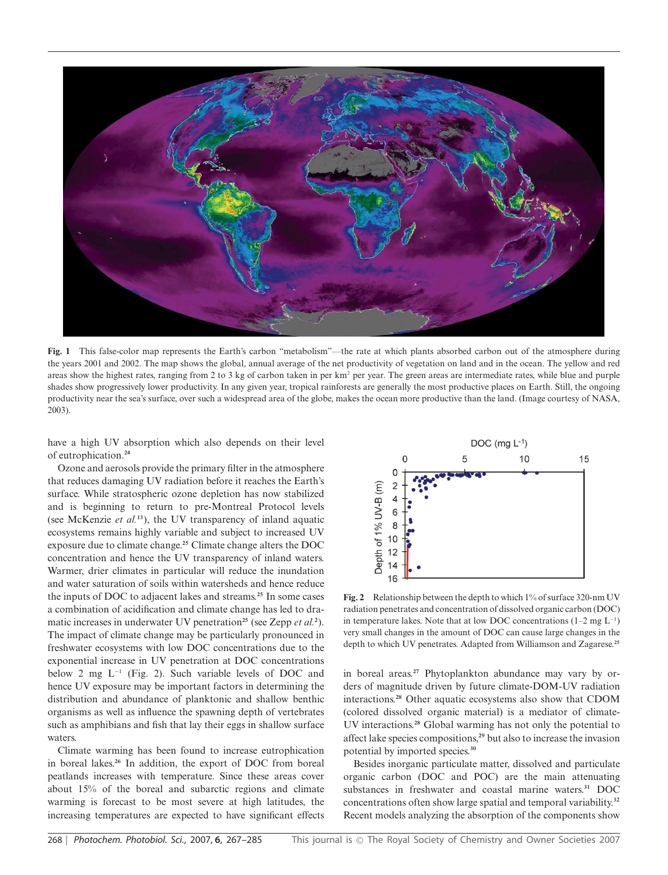

**Fig. 1** This false-color map represents the Earth's carbon "metabolism"—the rate at which plants absorbed carbon out of the atmosphere during the years 2001 and 2002. The map shows the global, annual average of the net productivity of vegetation on land and in the ocean. The yellow and red areas show the highest rates, ranging from 2 to 3 kg of carbon taken in per km<sup>2</sup> per year. The green areas are intermediate rates, while blue and purple shades show progressively lower productivity. In any given year, tropical rainforests are generally the most productive places on Earth. Still, the ongoing productivity near the sea's surface, over such a widespread area of the globe, makes the ocean more productive than the land. (Image courtesy of NASA, 2003).

have a high UV absorption which also depends on their level of eutrophication.**<sup>24</sup>**

Ozone and aerosols provide the primary filter in the atmosphere that reduces damaging UV radiation before it reaches the Earth's surface. While stratospheric ozone depletion has now stabilized and is beginning to return to pre-Montreal Protocol levels (see McKenzie *et al.***<sup>13</sup>**), the UV transparency of inland aquatic ecosystems remains highly variable and subject to increased UV exposure due to climate change.**<sup>25</sup>** Climate change alters the DOC concentration and hence the UV transparency of inland waters. Warmer, drier climates in particular will reduce the inundation and water saturation of soils within watersheds and hence reduce the inputs of DOC to adjacent lakes and streams.**<sup>25</sup>** In some cases a combination of acidification and climate change has led to dramatic increases in underwater UV penetration**<sup>25</sup>** (see Zepp *et al.***<sup>2</sup>** ). The impact of climate change may be particularly pronounced in freshwater ecosystems with low DOC concentrations due to the exponential increase in UV penetration at DOC concentrations below 2 mg L−<sup>1</sup> (Fig. 2). Such variable levels of DOC and hence UV exposure may be important factors in determining the distribution and abundance of planktonic and shallow benthic organisms as well as influence the spawning depth of vertebrates such as amphibians and fish that lay their eggs in shallow surface waters.

Climate warming has been found to increase eutrophication in boreal lakes.**<sup>26</sup>** In addition, the export of DOC from boreal peatlands increases with temperature. Since these areas cover about 15% of the boreal and subarctic regions and climate warming is forecast to be most severe at high latitudes, the increasing temperatures are expected to have significant effects



**Fig. 2** Relationship between the depth to which 1% of surface 320-nm UV radiation penetrates and concentration of dissolved organic carbon (DOC) in temperature lakes. Note that at low DOC concentrations (1–2 mg L−<sup>1</sup> ) very small changes in the amount of DOC can cause large changes in the depth to which UV penetrates. Adapted from Williamson and Zagarese.**<sup>25</sup>**

in boreal areas.**<sup>27</sup>** Phytoplankton abundance may vary by orders of magnitude driven by future climate-DOM-UV radiation interactions.**<sup>28</sup>** Other aquatic ecosystems also show that CDOM (colored dissolved organic material) is a mediator of climate-UV interactions.**<sup>28</sup>** Global warming has not only the potential to affect lake species compositions,**<sup>29</sup>** but also to increase the invasion potential by imported species.**<sup>30</sup>**

Besides inorganic particulate matter, dissolved and particulate organic carbon (DOC and POC) are the main attenuating substances in freshwater and coastal marine waters.**<sup>31</sup>** DOC concentrations often show large spatial and temporal variability.**<sup>32</sup>** Recent models analyzing the absorption of the components show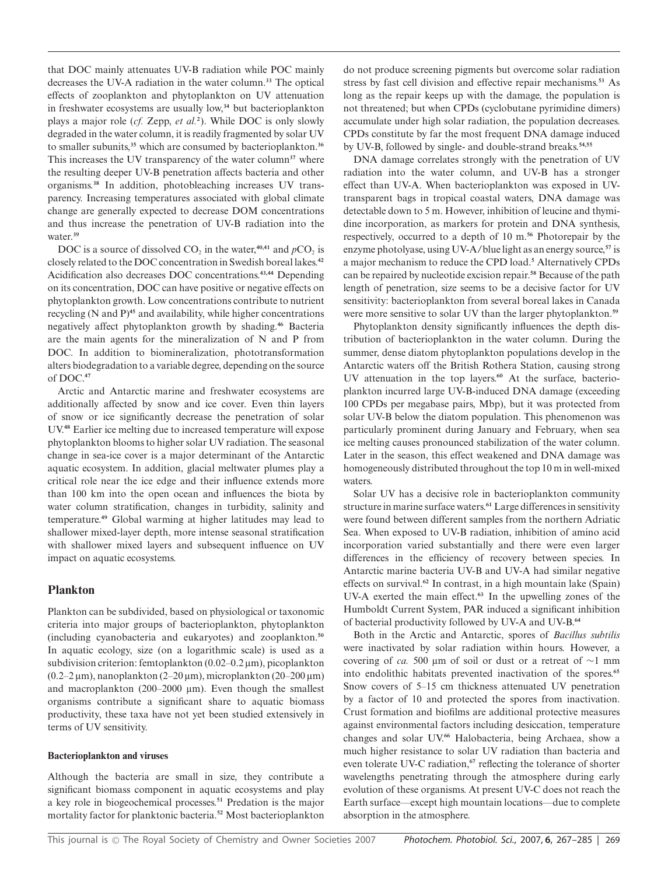that DOC mainly attenuates UV-B radiation while POC mainly decreases the UV-A radiation in the water column.**<sup>33</sup>** The optical effects of zooplankton and phytoplankton on UV attenuation in freshwater ecosystems are usually low,**<sup>34</sup>** but bacterioplankton plays a major role (*cf.* Zepp, *et al.***<sup>2</sup>** ). While DOC is only slowly degraded in the water column, it is readily fragmented by solar UV to smaller subunits,**<sup>35</sup>** which are consumed by bacterioplankton.**<sup>36</sup>** This increases the UV transparency of the water column**<sup>37</sup>** where the resulting deeper UV-B penetration affects bacteria and other organisms.**<sup>38</sup>** In addition, photobleaching increases UV transparency. Increasing temperatures associated with global climate change are generally expected to decrease DOM concentrations and thus increase the penetration of UV-B radiation into the water.**<sup>39</sup>**

DOC is a source of dissolved  $CO_2$  in the water,<sup>40,41</sup> and  $pCO_2$  is closely related to the DOC concentration in Swedish boreal lakes.**<sup>42</sup>** Acidification also decreases DOC concentrations.**43,44** Depending on its concentration, DOC can have positive or negative effects on phytoplankton growth. Low concentrations contribute to nutrient recycling (N and P)**<sup>45</sup>** and availability, while higher concentrations negatively affect phytoplankton growth by shading.**<sup>46</sup>** Bacteria are the main agents for the mineralization of N and P from DOC. In addition to biomineralization, phototransformation alters biodegradation to a variable degree, depending on the source of DOC.**<sup>47</sup>**

Arctic and Antarctic marine and freshwater ecosystems are additionally affected by snow and ice cover. Even thin layers of snow or ice significantly decrease the penetration of solar UV.**<sup>48</sup>** Earlier ice melting due to increased temperature will expose phytoplankton blooms to higher solar UV radiation. The seasonal change in sea-ice cover is a major determinant of the Antarctic aquatic ecosystem. In addition, glacial meltwater plumes play a critical role near the ice edge and their influence extends more than 100 km into the open ocean and influences the biota by water column stratification, changes in turbidity, salinity and temperature.**<sup>49</sup>** Global warming at higher latitudes may lead to shallower mixed-layer depth, more intense seasonal stratification with shallower mixed layers and subsequent influence on UV impact on aquatic ecosystems.

## **Plankton**

Plankton can be subdivided, based on physiological or taxonomic criteria into major groups of bacterioplankton, phytoplankton (including cyanobacteria and eukaryotes) and zooplankton.**<sup>50</sup>** In aquatic ecology, size (on a logarithmic scale) is used as a subdivision criterion: femtoplankton  $(0.02-0.2 \,\mu\text{m})$ , picoplankton (0.2–2  $\mu$ m), nanoplankton (2–20  $\mu$ m), microplankton (20–200  $\mu$ m) and macroplankton (200–2000  $\mu$ m). Even though the smallest organisms contribute a significant share to aquatic biomass productivity, these taxa have not yet been studied extensively in terms of UV sensitivity.

## **Bacterioplankton and viruses**

Although the bacteria are small in size, they contribute a significant biomass component in aquatic ecosystems and play a key role in biogeochemical processes.**<sup>51</sup>** Predation is the major mortality factor for planktonic bacteria.**<sup>52</sup>** Most bacterioplankton do not produce screening pigments but overcome solar radiation stress by fast cell division and effective repair mechanisms.**<sup>53</sup>** As long as the repair keeps up with the damage, the population is not threatened; but when CPDs (cyclobutane pyrimidine dimers) accumulate under high solar radiation, the population decreases. CPDs constitute by far the most frequent DNA damage induced by UV-B, followed by single- and double-strand breaks.**54,55**

DNA damage correlates strongly with the penetration of UV radiation into the water column, and UV-B has a stronger effect than UV-A. When bacterioplankton was exposed in UVtransparent bags in tropical coastal waters, DNA damage was detectable down to 5 m. However, inhibition of leucine and thymidine incorporation, as markers for protein and DNA synthesis, respectively, occurred to a depth of 10 m.**<sup>56</sup>** Photorepair by the enzyme photolyase, using UV-A/blue light as an energy source,**<sup>57</sup>** is a major mechanism to reduce the CPD load.**<sup>5</sup>** Alternatively CPDs can be repaired by nucleotide excision repair.**<sup>58</sup>** Because of the path length of penetration, size seems to be a decisive factor for UV sensitivity: bacterioplankton from several boreal lakes in Canada were more sensitive to solar UV than the larger phytoplankton.**<sup>59</sup>**

Phytoplankton density significantly influences the depth distribution of bacterioplankton in the water column. During the summer, dense diatom phytoplankton populations develop in the Antarctic waters off the British Rothera Station, causing strong UV attenuation in the top layers.**<sup>60</sup>** At the surface, bacterioplankton incurred large UV-B-induced DNA damage (exceeding 100 CPDs per megabase pairs, Mbp), but it was protected from solar UV-B below the diatom population. This phenomenon was particularly prominent during January and February, when sea ice melting causes pronounced stabilization of the water column. Later in the season, this effect weakened and DNA damage was homogeneously distributed throughout the top 10 m in well-mixed waters.

Solar UV has a decisive role in bacterioplankton community structure in marine surface waters.**<sup>61</sup>** Large differences in sensitivity were found between different samples from the northern Adriatic Sea. When exposed to UV-B radiation, inhibition of amino acid incorporation varied substantially and there were even larger differences in the efficiency of recovery between species. In Antarctic marine bacteria UV-B and UV-A had similar negative effects on survival.**<sup>62</sup>** In contrast, in a high mountain lake (Spain) UV-A exerted the main effect.**<sup>63</sup>** In the upwelling zones of the Humboldt Current System, PAR induced a significant inhibition of bacterial productivity followed by UV-A and UV-B.**<sup>64</sup>**

Both in the Arctic and Antarctic, spores of *Bacillus subtilis* were inactivated by solar radiation within hours. However, a covering of *ca*. 500 µm of soil or dust or a retreat of ∼1 mm into endolithic habitats prevented inactivation of the spores.**<sup>65</sup>** Snow covers of 5–15 cm thickness attenuated UV penetration by a factor of 10 and protected the spores from inactivation. Crust formation and biofilms are additional protective measures against environmental factors including desiccation, temperature changes and solar UV.**<sup>66</sup>** Halobacteria, being Archaea, show a much higher resistance to solar UV radiation than bacteria and even tolerate UV-C radiation,**<sup>67</sup>** reflecting the tolerance of shorter wavelengths penetrating through the atmosphere during early evolution of these organisms. At present UV-C does not reach the Earth surface—except high mountain locations—due to complete absorption in the atmosphere.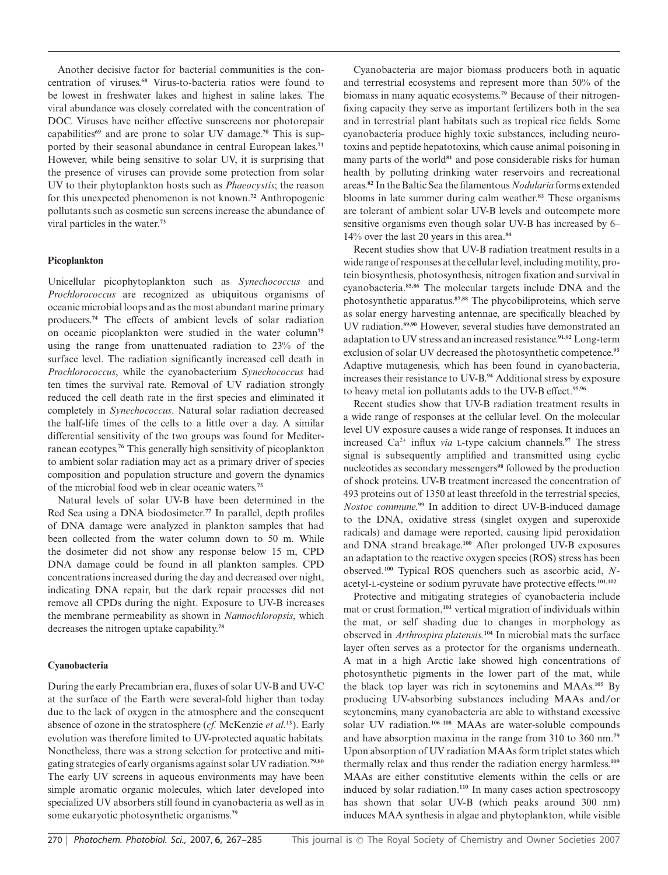Another decisive factor for bacterial communities is the concentration of viruses.**<sup>68</sup>** Virus-to-bacteria ratios were found to be lowest in freshwater lakes and highest in saline lakes. The viral abundance was closely correlated with the concentration of DOC. Viruses have neither effective sunscreens nor photorepair capabilities**<sup>69</sup>** and are prone to solar UV damage.**<sup>70</sup>** This is supported by their seasonal abundance in central European lakes.**<sup>71</sup>** However, while being sensitive to solar UV, it is surprising that the presence of viruses can provide some protection from solar UV to their phytoplankton hosts such as *Phaeocystis*; the reason for this unexpected phenomenon is not known.**<sup>72</sup>** Anthropogenic pollutants such as cosmetic sun screens increase the abundance of viral particles in the water.**<sup>73</sup>**

#### **Picoplankton**

Unicellular picophytoplankton such as *Synechococcus* and *Prochlorococcus* are recognized as ubiquitous organisms of oceanic microbial loops and as the most abundant marine primary producers.**<sup>74</sup>** The effects of ambient levels of solar radiation on oceanic picoplankton were studied in the water column**<sup>75</sup>** using the range from unattenuated radiation to 23% of the surface level. The radiation significantly increased cell death in *Prochlorococcus*, while the cyanobacterium *Synechococcus* had ten times the survival rate. Removal of UV radiation strongly reduced the cell death rate in the first species and eliminated it completely in *Synechococcus*. Natural solar radiation decreased the half-life times of the cells to a little over a day. A similar differential sensitivity of the two groups was found for Mediterranean ecotypes.**<sup>76</sup>** This generally high sensitivity of picoplankton to ambient solar radiation may act as a primary driver of species composition and population structure and govern the dynamics of the microbial food web in clear oceanic waters.**<sup>75</sup>**

Natural levels of solar UV-B have been determined in the Red Sea using a DNA biodosimeter.**<sup>77</sup>** In parallel, depth profiles of DNA damage were analyzed in plankton samples that had been collected from the water column down to 50 m. While the dosimeter did not show any response below 15 m, CPD DNA damage could be found in all plankton samples. CPD concentrations increased during the day and decreased over night, indicating DNA repair, but the dark repair processes did not remove all CPDs during the night. Exposure to UV-B increases the membrane permeability as shown in *Nannochloropsis*, which decreases the nitrogen uptake capability.**<sup>78</sup>**

## **Cyanobacteria**

During the early Precambrian era, fluxes of solar UV-B and UV-C at the surface of the Earth were several-fold higher than today due to the lack of oxygen in the atmosphere and the consequent absence of ozone in the stratosphere (*cf.* McKenzie *et al.***<sup>13</sup>**). Early evolution was therefore limited to UV-protected aquatic habitats. Nonetheless, there was a strong selection for protective and mitigating strategies of early organisms against solar UV radiation.**79,80** The early UV screens in aqueous environments may have been simple aromatic organic molecules, which later developed into specialized UV absorbers still found in cyanobacteria as well as in some eukaryotic photosynthetic organisms.**<sup>79</sup>**

Cyanobacteria are major biomass producers both in aquatic and terrestrial ecosystems and represent more than 50% of the biomass in many aquatic ecosystems.**<sup>79</sup>** Because of their nitrogenfixing capacity they serve as important fertilizers both in the sea and in terrestrial plant habitats such as tropical rice fields. Some cyanobacteria produce highly toxic substances, including neurotoxins and peptide hepatotoxins, which cause animal poisoning in many parts of the world<sup>81</sup> and pose considerable risks for human health by polluting drinking water reservoirs and recreational areas.**<sup>82</sup>** In the Baltic Sea the filamentous *Nodularia* forms extended blooms in late summer during calm weather.**<sup>83</sup>** These organisms are tolerant of ambient solar UV-B levels and outcompete more sensitive organisms even though solar UV-B has increased by 6– 14% over the last 20 years in this area.**<sup>84</sup>**

Recent studies show that UV-B radiation treatment results in a wide range of responses at the cellular level, including motility, protein biosynthesis, photosynthesis, nitrogen fixation and survival in cyanobacteria.**85,86** The molecular targets include DNA and the photosynthetic apparatus.**87,88** The phycobiliproteins, which serve as solar energy harvesting antennae, are specifically bleached by UV radiation.**89,90** However, several studies have demonstrated an adaptation to UV stress and an increased resistance.**91,92** Long-term exclusion of solar UV decreased the photosynthetic competence.**<sup>93</sup>** Adaptive mutagenesis, which has been found in cyanobacteria, increases their resistance to UV-B.**<sup>94</sup>** Additional stress by exposure to heavy metal ion pollutants adds to the UV-B effect.**95,96**

Recent studies show that UV-B radiation treatment results in a wide range of responses at the cellular level. On the molecular level UV exposure causes a wide range of responses. It induces an increased Ca2+ influx *via* L-type calcium channels.**<sup>97</sup>** The stress signal is subsequently amplified and transmitted using cyclic nucleotides as secondary messengers**<sup>98</sup>** followed by the production of shock proteins. UV-B treatment increased the concentration of 493 proteins out of 1350 at least threefold in the terrestrial species, *Nostoc commune.***<sup>99</sup>** In addition to direct UV-B-induced damage to the DNA, oxidative stress (singlet oxygen and superoxide radicals) and damage were reported, causing lipid peroxidation and DNA strand breakage.**<sup>100</sup>** After prolonged UV-B exposures an adaptation to the reactive oxygen species (ROS) stress has been observed.**<sup>100</sup>** Typical ROS quenchers such as ascorbic acid, *N*acetyl-L-cysteine or sodium pyruvate have protective effects.**101,102**

Protective and mitigating strategies of cyanobacteria include mat or crust formation,**<sup>103</sup>** vertical migration of individuals within the mat, or self shading due to changes in morphology as observed in *Arthrospira platensis.***<sup>104</sup>** In microbial mats the surface layer often serves as a protector for the organisms underneath. A mat in a high Arctic lake showed high concentrations of photosynthetic pigments in the lower part of the mat, while the black top layer was rich in scytonemins and MAAs.**<sup>105</sup>** By producing UV-absorbing substances including MAAs and/or scytonemins, many cyanobacteria are able to withstand excessive solar UV radiation.**106–108** MAAs are water-soluble compounds and have absorption maxima in the range from 310 to 360 nm.**<sup>79</sup>** Upon absorption of UV radiation MAAs form triplet states which thermally relax and thus render the radiation energy harmless.**<sup>109</sup>** MAAs are either constitutive elements within the cells or are induced by solar radiation.**<sup>110</sup>** In many cases action spectroscopy has shown that solar UV-B (which peaks around 300 nm) induces MAA synthesis in algae and phytoplankton, while visible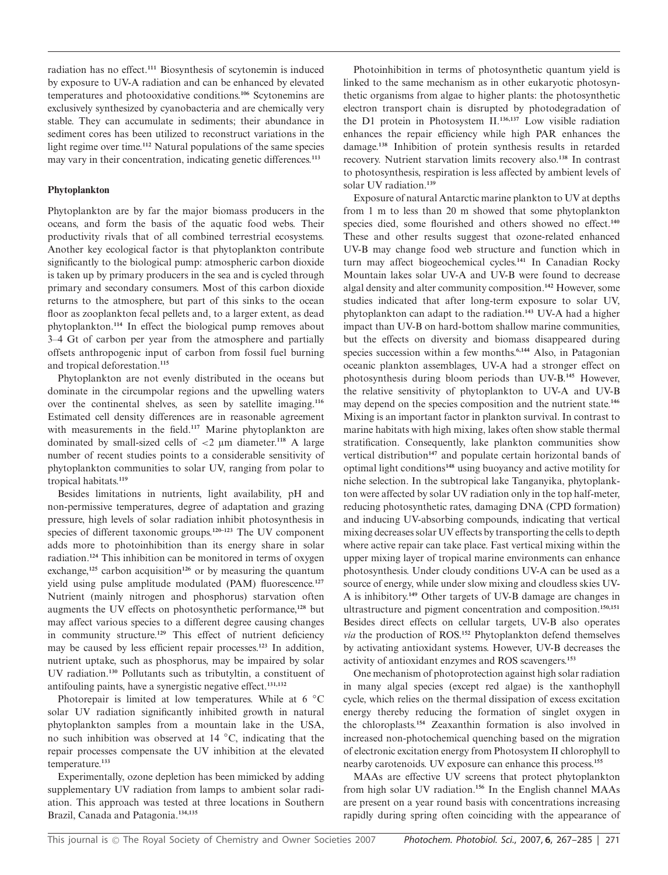radiation has no effect.**<sup>111</sup>** Biosynthesis of scytonemin is induced by exposure to UV-A radiation and can be enhanced by elevated temperatures and photooxidative conditions.**<sup>106</sup>** Scytonemins are exclusively synthesized by cyanobacteria and are chemically very stable. They can accumulate in sediments; their abundance in sediment cores has been utilized to reconstruct variations in the light regime over time.**<sup>112</sup>** Natural populations of the same species may vary in their concentration, indicating genetic differences.**<sup>113</sup>**

## **Phytoplankton**

Phytoplankton are by far the major biomass producers in the oceans, and form the basis of the aquatic food webs. Their productivity rivals that of all combined terrestrial ecosystems. Another key ecological factor is that phytoplankton contribute significantly to the biological pump: atmospheric carbon dioxide is taken up by primary producers in the sea and is cycled through primary and secondary consumers. Most of this carbon dioxide returns to the atmosphere, but part of this sinks to the ocean floor as zooplankton fecal pellets and, to a larger extent, as dead phytoplankton.**<sup>114</sup>** In effect the biological pump removes about 3–4 Gt of carbon per year from the atmosphere and partially offsets anthropogenic input of carbon from fossil fuel burning and tropical deforestation.**<sup>115</sup>**

Phytoplankton are not evenly distributed in the oceans but dominate in the circumpolar regions and the upwelling waters over the continental shelves, as seen by satellite imaging.**<sup>116</sup>** Estimated cell density differences are in reasonable agreement with measurements in the field.**<sup>117</sup>** Marine phytoplankton are dominated by small-sized cells of  $\lt 2$  µm diameter.<sup>118</sup> A large number of recent studies points to a considerable sensitivity of phytoplankton communities to solar UV, ranging from polar to tropical habitats.**<sup>119</sup>**

Besides limitations in nutrients, light availability, pH and non-permissive temperatures, degree of adaptation and grazing pressure, high levels of solar radiation inhibit photosynthesis in species of different taxonomic groups.**120–123** The UV component adds more to photoinhibition than its energy share in solar radiation.**<sup>124</sup>** This inhibition can be monitored in terms of oxygen exchange,<sup>125</sup> carbon acquisition<sup>126</sup> or by measuring the quantum yield using pulse amplitude modulated (PAM) fluorescence.**<sup>127</sup>** Nutrient (mainly nitrogen and phosphorus) starvation often augments the UV effects on photosynthetic performance,**<sup>128</sup>** but may affect various species to a different degree causing changes in community structure.**<sup>129</sup>** This effect of nutrient deficiency may be caused by less efficient repair processes.**<sup>123</sup>** In addition, nutrient uptake, such as phosphorus, may be impaired by solar UV radiation.**<sup>130</sup>** Pollutants such as tributyltin, a constituent of antifouling paints, have a synergistic negative effect.**131,132**

Photorepair is limited at low temperatures. While at 6 *◦*C solar UV radiation significantly inhibited growth in natural phytoplankton samples from a mountain lake in the USA, no such inhibition was observed at 14 *◦*C, indicating that the repair processes compensate the UV inhibition at the elevated temperature.**<sup>133</sup>**

Experimentally, ozone depletion has been mimicked by adding supplementary UV radiation from lamps to ambient solar radiation. This approach was tested at three locations in Southern Brazil, Canada and Patagonia.**134,135**

Photoinhibition in terms of photosynthetic quantum yield is linked to the same mechanism as in other eukaryotic photosynthetic organisms from algae to higher plants: the photosynthetic electron transport chain is disrupted by photodegradation of the D1 protein in Photosystem II.**136,137** Low visible radiation enhances the repair efficiency while high PAR enhances the damage.**<sup>138</sup>** Inhibition of protein synthesis results in retarded recovery. Nutrient starvation limits recovery also.**<sup>138</sup>** In contrast to photosynthesis, respiration is less affected by ambient levels of solar UV radiation.**<sup>139</sup>**

Exposure of natural Antarctic marine plankton to UV at depths from 1 m to less than 20 m showed that some phytoplankton species died, some flourished and others showed no effect.**<sup>140</sup>** These and other results suggest that ozone-related enhanced UV-B may change food web structure and function which in turn may affect biogeochemical cycles.**<sup>141</sup>** In Canadian Rocky Mountain lakes solar UV-A and UV-B were found to decrease algal density and alter community composition.**<sup>142</sup>** However, some studies indicated that after long-term exposure to solar UV, phytoplankton can adapt to the radiation.**<sup>143</sup>** UV-A had a higher impact than UV-B on hard-bottom shallow marine communities, but the effects on diversity and biomass disappeared during species succession within a few months.<sup>6,144</sup> Also, in Patagonian oceanic plankton assemblages, UV-A had a stronger effect on photosynthesis during bloom periods than UV-B.**<sup>145</sup>** However, the relative sensitivity of phytoplankton to UV-A and UV-B may depend on the species composition and the nutrient state.**<sup>146</sup>** Mixing is an important factor in plankton survival. In contrast to marine habitats with high mixing, lakes often show stable thermal stratification. Consequently, lake plankton communities show vertical distribution**<sup>147</sup>** and populate certain horizontal bands of optimal light conditions**<sup>148</sup>** using buoyancy and active motility for niche selection. In the subtropical lake Tanganyika, phytoplankton were affected by solar UV radiation only in the top half-meter, reducing photosynthetic rates, damaging DNA (CPD formation) and inducing UV-absorbing compounds, indicating that vertical mixing decreases solar UV effects by transporting the cells to depth where active repair can take place. Fast vertical mixing within the upper mixing layer of tropical marine environments can enhance photosynthesis. Under cloudy conditions UV-A can be used as a source of energy, while under slow mixing and cloudless skies UV-A is inhibitory.**<sup>149</sup>** Other targets of UV-B damage are changes in ultrastructure and pigment concentration and composition.**150,151** Besides direct effects on cellular targets, UV-B also operates *via* the production of ROS.**<sup>152</sup>** Phytoplankton defend themselves by activating antioxidant systems. However, UV-B decreases the activity of antioxidant enzymes and ROS scavengers.**<sup>153</sup>**

One mechanism of photoprotection against high solar radiation in many algal species (except red algae) is the xanthophyll cycle, which relies on the thermal dissipation of excess excitation energy thereby reducing the formation of singlet oxygen in the chloroplasts.**<sup>154</sup>** Zeaxanthin formation is also involved in increased non-photochemical quenching based on the migration of electronic excitation energy from Photosystem II chlorophyll to nearby carotenoids. UV exposure can enhance this process.**<sup>155</sup>**

MAAs are effective UV screens that protect phytoplankton from high solar UV radiation.**<sup>156</sup>** In the English channel MAAs are present on a year round basis with concentrations increasing rapidly during spring often coinciding with the appearance of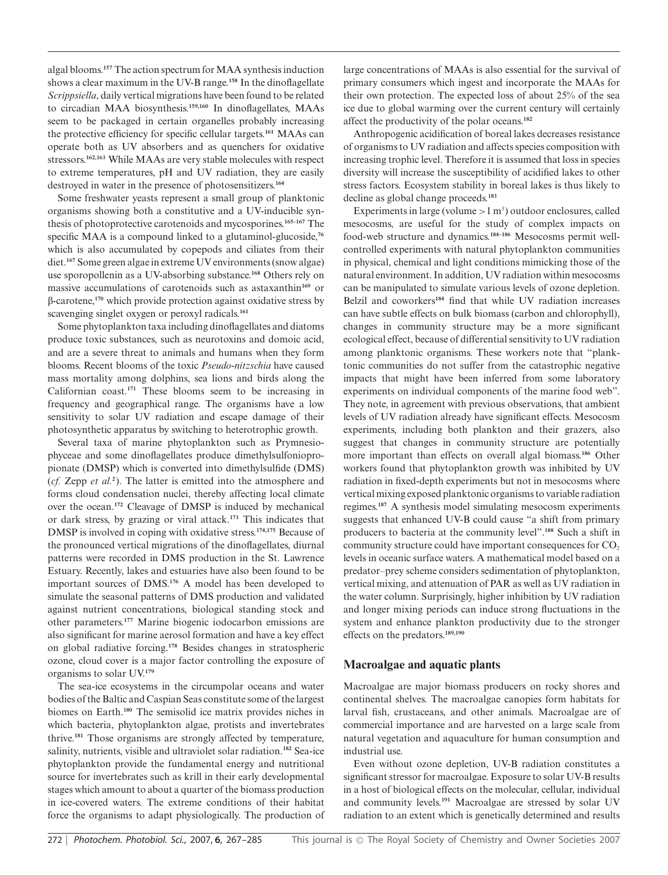algal blooms.**<sup>157</sup>** The action spectrum for MAA synthesis induction shows a clear maximum in the UV-B range.**<sup>158</sup>** In the dinoflagellate *Scrippsiella*, daily vertical migrations have been found to be related to circadian MAA biosynthesis.**159,160** In dinoflagellates, MAAs seem to be packaged in certain organelles probably increasing the protective efficiency for specific cellular targets.**<sup>161</sup>** MAAs can operate both as UV absorbers and as quenchers for oxidative stressors.**162,163** While MAAs are very stable molecules with respect to extreme temperatures, pH and UV radiation, they are easily destroyed in water in the presence of photosensitizers.**<sup>164</sup>**

Some freshwater yeasts represent a small group of planktonic organisms showing both a constitutive and a UV-inducible synthesis of photoprotective carotenoids and mycosporines.**165–167** The specific MAA is a compound linked to a glutaminol-glucoside,**<sup>76</sup>** which is also accumulated by copepods and ciliates from their diet.**<sup>167</sup>** Some green algae in extreme UV environments (snow algae) use sporopollenin as a UV-absorbing substance.**<sup>168</sup>** Others rely on massive accumulations of carotenoids such as astaxanthin**<sup>169</sup>** or b-carotene,**<sup>170</sup>** which provide protection against oxidative stress by scavenging singlet oxygen or peroxyl radicals.**<sup>161</sup>**

Some phytoplankton taxa including dinoflagellates and diatoms produce toxic substances, such as neurotoxins and domoic acid, and are a severe threat to animals and humans when they form blooms. Recent blooms of the toxic *Pseudo*-*nitzschia* have caused mass mortality among dolphins, sea lions and birds along the Californian coast.**<sup>171</sup>** These blooms seem to be increasing in frequency and geographical range. The organisms have a low sensitivity to solar UV radiation and escape damage of their photosynthetic apparatus by switching to heterotrophic growth.

Several taxa of marine phytoplankton such as Prymnesiophyceae and some dinoflagellates produce dimethylsulfoniopropionate (DMSP) which is converted into dimethylsulfide (DMS) (*cf.* Zepp *et al.***<sup>2</sup>** ). The latter is emitted into the atmosphere and forms cloud condensation nuclei, thereby affecting local climate over the ocean.**<sup>172</sup>** Cleavage of DMSP is induced by mechanical or dark stress, by grazing or viral attack.**<sup>173</sup>** This indicates that DMSP is involved in coping with oxidative stress.**174,175** Because of the pronounced vertical migrations of the dinoflagellates, diurnal patterns were recorded in DMS production in the St. Lawrence Estuary. Recently, lakes and estuaries have also been found to be important sources of DMS.**<sup>176</sup>** A model has been developed to simulate the seasonal patterns of DMS production and validated against nutrient concentrations, biological standing stock and other parameters.**<sup>177</sup>** Marine biogenic iodocarbon emissions are also significant for marine aerosol formation and have a key effect on global radiative forcing.**<sup>178</sup>** Besides changes in stratospheric ozone, cloud cover is a major factor controlling the exposure of organisms to solar UV.**<sup>179</sup>**

The sea-ice ecosystems in the circumpolar oceans and water bodies of the Baltic and Caspian Seas constitute some of the largest biomes on Earth.**<sup>180</sup>** The semisolid ice matrix provides niches in which bacteria, phytoplankton algae, protists and invertebrates thrive.**<sup>181</sup>** Those organisms are strongly affected by temperature, salinity, nutrients, visible and ultraviolet solar radiation.**<sup>182</sup>** Sea-ice phytoplankton provide the fundamental energy and nutritional source for invertebrates such as krill in their early developmental stages which amount to about a quarter of the biomass production in ice-covered waters. The extreme conditions of their habitat force the organisms to adapt physiologically. The production of large concentrations of MAAs is also essential for the survival of primary consumers which ingest and incorporate the MAAs for their own protection. The expected loss of about 25% of the sea ice due to global warming over the current century will certainly affect the productivity of the polar oceans.**<sup>182</sup>**

Anthropogenic acidification of boreal lakes decreases resistance of organisms to UV radiation and affects species composition with increasing trophic level. Therefore it is assumed that loss in species diversity will increase the susceptibility of acidified lakes to other stress factors. Ecosystem stability in boreal lakes is thus likely to decline as global change proceeds.**<sup>183</sup>**

Experiments in large (volume  $>1 \text{ m}^3$ ) outdoor enclosures, called mesocosms, are useful for the study of complex impacts on food-web structure and dynamics.**184–186** Mesocosms permit wellcontrolled experiments with natural phytoplankton communities in physical, chemical and light conditions mimicking those of the natural environment. In addition, UV radiation within mesocosms can be manipulated to simulate various levels of ozone depletion. Belzil and coworkers**<sup>184</sup>** find that while UV radiation increases can have subtle effects on bulk biomass (carbon and chlorophyll), changes in community structure may be a more significant ecological effect, because of differential sensitivity to UV radiation among planktonic organisms. These workers note that "planktonic communities do not suffer from the catastrophic negative impacts that might have been inferred from some laboratory experiments on individual components of the marine food web". They note, in agreement with previous observations, that ambient levels of UV radiation already have significant effects. Mesocosm experiments, including both plankton and their grazers, also suggest that changes in community structure are potentially more important than effects on overall algal biomass.**<sup>186</sup>** Other workers found that phytoplankton growth was inhibited by UV radiation in fixed-depth experiments but not in mesocosms where vertical mixing exposed planktonic organisms to variable radiation regimes.**<sup>187</sup>** A synthesis model simulating mesocosm experiments suggests that enhanced UV-B could cause "a shift from primary producers to bacteria at the community level".**<sup>188</sup>** Such a shift in community structure could have important consequences for  $CO<sub>2</sub>$ levels in oceanic surface waters. A mathematical model based on a predator–prey scheme considers sedimentation of phytoplankton, vertical mixing, and attenuation of PAR as well as UV radiation in the water column. Surprisingly, higher inhibition by UV radiation and longer mixing periods can induce strong fluctuations in the system and enhance plankton productivity due to the stronger effects on the predators.**189,190**

## **Macroalgae and aquatic plants**

Macroalgae are major biomass producers on rocky shores and continental shelves. The macroalgae canopies form habitats for larval fish, crustaceans, and other animals. Macroalgae are of commercial importance and are harvested on a large scale from natural vegetation and aquaculture for human consumption and industrial use.

Even without ozone depletion, UV-B radiation constitutes a significant stressor for macroalgae. Exposure to solar UV-B results in a host of biological effects on the molecular, cellular, individual and community levels.**<sup>191</sup>** Macroalgae are stressed by solar UV radiation to an extent which is genetically determined and results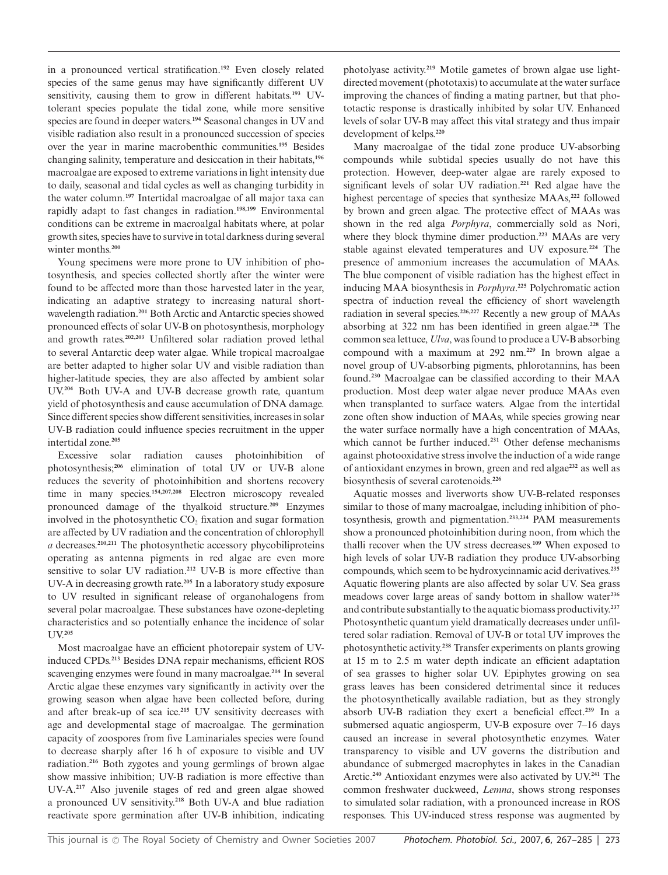in a pronounced vertical stratification.**<sup>192</sup>** Even closely related species of the same genus may have significantly different UV sensitivity, causing them to grow in different habitats.**<sup>193</sup>** UVtolerant species populate the tidal zone, while more sensitive species are found in deeper waters.**<sup>194</sup>** Seasonal changes in UV and visible radiation also result in a pronounced succession of species over the year in marine macrobenthic communities.**<sup>195</sup>** Besides changing salinity, temperature and desiccation in their habitats,**<sup>196</sup>** macroalgae are exposed to extreme variations in light intensity due to daily, seasonal and tidal cycles as well as changing turbidity in the water column.**<sup>197</sup>** Intertidal macroalgae of all major taxa can rapidly adapt to fast changes in radiation.**198,199** Environmental conditions can be extreme in macroalgal habitats where, at polar growth sites, species have to survive in total darkness during several winter months.**<sup>200</sup>**

Young specimens were more prone to UV inhibition of photosynthesis, and species collected shortly after the winter were found to be affected more than those harvested later in the year, indicating an adaptive strategy to increasing natural shortwavelength radiation.**<sup>201</sup>** Both Arctic and Antarctic species showed pronounced effects of solar UV-B on photosynthesis, morphology and growth rates.**202,203** Unfiltered solar radiation proved lethal to several Antarctic deep water algae. While tropical macroalgae are better adapted to higher solar UV and visible radiation than higher-latitude species, they are also affected by ambient solar UV.**<sup>204</sup>** Both UV-A and UV-B decrease growth rate, quantum yield of photosynthesis and cause accumulation of DNA damage. Since different species show different sensitivities, increases in solar UV-B radiation could influence species recruitment in the upper intertidal zone.**<sup>205</sup>**

Excessive solar radiation causes photoinhibition of photosynthesis;**<sup>206</sup>** elimination of total UV or UV-B alone reduces the severity of photoinhibition and shortens recovery time in many species.**154,207,208** Electron microscopy revealed pronounced damage of the thyalkoid structure.**<sup>209</sup>** Enzymes involved in the photosynthetic  $CO<sub>2</sub>$  fixation and sugar formation are affected by UV radiation and the concentration of chlorophyll *a* decreases.**210,211** The photosynthetic accessory phycobiliproteins operating as antenna pigments in red algae are even more sensitive to solar UV radiation.**<sup>212</sup>** UV-B is more effective than UV-A in decreasing growth rate.**<sup>205</sup>** In a laboratory study exposure to UV resulted in significant release of organohalogens from several polar macroalgae. These substances have ozone-depleting characteristics and so potentially enhance the incidence of solar UV.**<sup>205</sup>**

Most macroalgae have an efficient photorepair system of UVinduced CPDs.**<sup>213</sup>** Besides DNA repair mechanisms, efficient ROS scavenging enzymes were found in many macroalgae.**<sup>214</sup>** In several Arctic algae these enzymes vary significantly in activity over the growing season when algae have been collected before, during and after break-up of sea ice.**<sup>215</sup>** UV sensitivity decreases with age and developmental stage of macroalgae. The germination capacity of zoospores from five Laminariales species were found to decrease sharply after 16 h of exposure to visible and UV radiation.**<sup>216</sup>** Both zygotes and young germlings of brown algae show massive inhibition; UV-B radiation is more effective than UV-A.**<sup>217</sup>** Also juvenile stages of red and green algae showed a pronounced UV sensitivity.**<sup>218</sup>** Both UV-A and blue radiation reactivate spore germination after UV-B inhibition, indicating photolyase activity.**<sup>219</sup>** Motile gametes of brown algae use lightdirected movement (phototaxis) to accumulate at the water surface improving the chances of finding a mating partner, but that phototactic response is drastically inhibited by solar UV. Enhanced levels of solar UV-B may affect this vital strategy and thus impair development of kelps.**<sup>220</sup>**

Many macroalgae of the tidal zone produce UV-absorbing compounds while subtidal species usually do not have this protection. However, deep-water algae are rarely exposed to significant levels of solar UV radiation.**<sup>221</sup>** Red algae have the highest percentage of species that synthesize MAAs,**<sup>222</sup>** followed by brown and green algae. The protective effect of MAAs was shown in the red alga *Porphyra*, commercially sold as Nori, where they block thymine dimer production.**<sup>223</sup>** MAAs are very stable against elevated temperatures and UV exposure.**<sup>224</sup>** The presence of ammonium increases the accumulation of MAAs. The blue component of visible radiation has the highest effect in inducing MAA biosynthesis in *Porphyra*. **<sup>225</sup>** Polychromatic action spectra of induction reveal the efficiency of short wavelength radiation in several species.**226,227** Recently a new group of MAAs absorbing at 322 nm has been identified in green algae.**<sup>228</sup>** The common sea lettuce, *Ulva*, was found to produce a UV-B absorbing compound with a maximum at 292 nm.**<sup>229</sup>** In brown algae a novel group of UV-absorbing pigments, phlorotannins, has been found.**<sup>230</sup>** Macroalgae can be classified according to their MAA production. Most deep water algae never produce MAAs even when transplanted to surface waters. Algae from the intertidal zone often show induction of MAAs, while species growing near the water surface normally have a high concentration of MAAs, which cannot be further induced.**<sup>231</sup>** Other defense mechanisms against photooxidative stress involve the induction of a wide range of antioxidant enzymes in brown, green and red algae**<sup>232</sup>** as well as biosynthesis of several carotenoids.**<sup>226</sup>**

Aquatic mosses and liverworts show UV-B-related responses similar to those of many macroalgae, including inhibition of photosynthesis, growth and pigmentation.**233,234** PAM measurements show a pronounced photoinhibition during noon, from which the thalli recover when the UV stress decreases.**<sup>109</sup>** When exposed to high levels of solar UV-B radiation they produce UV-absorbing compounds, which seem to be hydroxycinnamic acid derivatives.**<sup>235</sup>** Aquatic flowering plants are also affected by solar UV. Sea grass meadows cover large areas of sandy bottom in shallow water**<sup>236</sup>** and contribute substantially to the aquatic biomass productivity.**<sup>237</sup>** Photosynthetic quantum yield dramatically decreases under unfiltered solar radiation. Removal of UV-B or total UV improves the photosynthetic activity.**<sup>238</sup>** Transfer experiments on plants growing at 15 m to 2.5 m water depth indicate an efficient adaptation of sea grasses to higher solar UV. Epiphytes growing on sea grass leaves has been considered detrimental since it reduces the photosynthetically available radiation, but as they strongly absorb UV-B radiation they exert a beneficial effect.**<sup>239</sup>** In a submersed aquatic angiosperm, UV-B exposure over 7–16 days caused an increase in several photosynthetic enzymes. Water transparency to visible and UV governs the distribution and abundance of submerged macrophytes in lakes in the Canadian Arctic.**<sup>240</sup>** Antioxidant enzymes were also activated by UV.**<sup>241</sup>** The common freshwater duckweed, *Lemna*, shows strong responses to simulated solar radiation, with a pronounced increase in ROS responses. This UV-induced stress response was augmented by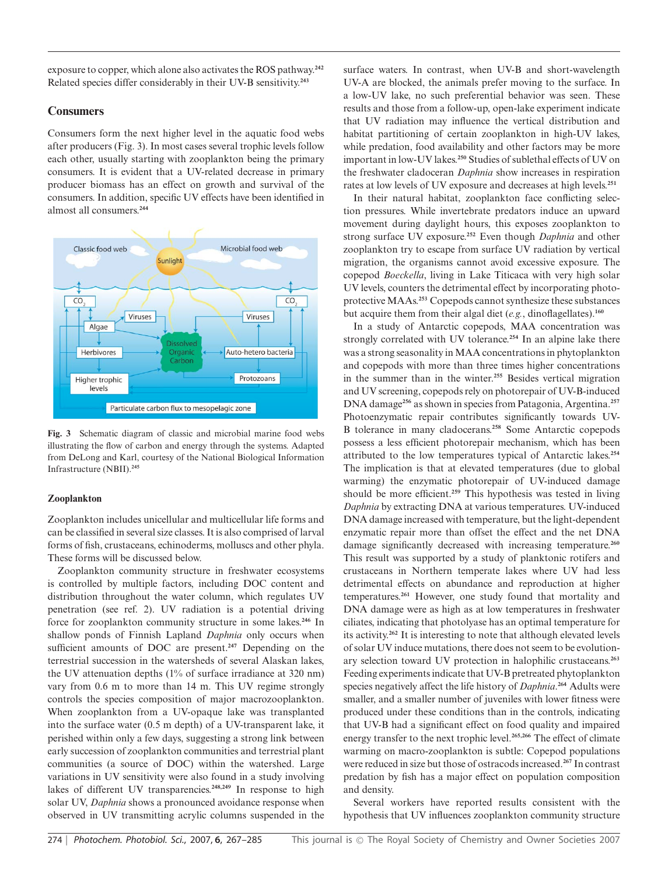exposure to copper, which alone also activates the ROS pathway.**<sup>242</sup>** Related species differ considerably in their UV-B sensitivity.**<sup>243</sup>**

## **Consumers**

Consumers form the next higher level in the aquatic food webs after producers (Fig. 3). In most cases several trophic levels follow each other, usually starting with zooplankton being the primary consumers. It is evident that a UV-related decrease in primary producer biomass has an effect on growth and survival of the consumers. In addition, specific UV effects have been identified in almost all consumers.**<sup>244</sup>**



**Fig. 3** Schematic diagram of classic and microbial marine food webs illustrating the flow of carbon and energy through the systems. Adapted from DeLong and Karl, courtesy of the National Biological Information Infrastructure (NBII).**<sup>245</sup>**

## **Zooplankton**

Zooplankton includes unicellular and multicellular life forms and can be classified in several size classes. It is also comprised of larval forms of fish, crustaceans, echinoderms, molluscs and other phyla. These forms will be discussed below.

Zooplankton community structure in freshwater ecosystems is controlled by multiple factors, including DOC content and distribution throughout the water column, which regulates UV penetration (see ref. 2). UV radiation is a potential driving force for zooplankton community structure in some lakes.**<sup>246</sup>** In shallow ponds of Finnish Lapland *Daphnia* only occurs when sufficient amounts of DOC are present.**<sup>247</sup>** Depending on the terrestrial succession in the watersheds of several Alaskan lakes, the UV attenuation depths (1% of surface irradiance at 320 nm) vary from 0.6 m to more than 14 m. This UV regime strongly controls the species composition of major macrozooplankton. When zooplankton from a UV-opaque lake was transplanted into the surface water (0.5 m depth) of a UV-transparent lake, it perished within only a few days, suggesting a strong link between early succession of zooplankton communities and terrestrial plant communities (a source of DOC) within the watershed. Large variations in UV sensitivity were also found in a study involving lakes of different UV transparencies.**248,249** In response to high solar UV, *Daphnia* shows a pronounced avoidance response when observed in UV transmitting acrylic columns suspended in the surface waters. In contrast, when UV-B and short-wavelength UV-A are blocked, the animals prefer moving to the surface. In a low-UV lake, no such preferential behavior was seen. These results and those from a follow-up, open-lake experiment indicate that UV radiation may influence the vertical distribution and habitat partitioning of certain zooplankton in high-UV lakes, while predation, food availability and other factors may be more important in low-UV lakes.**<sup>250</sup>** Studies of sublethal effects of UV on the freshwater cladoceran *Daphnia* show increases in respiration rates at low levels of UV exposure and decreases at high levels.**<sup>251</sup>**

In their natural habitat, zooplankton face conflicting selection pressures. While invertebrate predators induce an upward movement during daylight hours, this exposes zooplankton to strong surface UV exposure.**<sup>252</sup>** Even though *Daphnia* and other zooplankton try to escape from surface UV radiation by vertical migration, the organisms cannot avoid excessive exposure. The copepod *Boeckella*, living in Lake Titicaca with very high solar UV levels, counters the detrimental effect by incorporating photoprotective MAAs.**<sup>253</sup>** Copepods cannot synthesize these substances but acquire them from their algal diet (*e.g.*, dinoflagellates).**<sup>160</sup>**

In a study of Antarctic copepods, MAA concentration was strongly correlated with UV tolerance.**<sup>254</sup>** In an alpine lake there was a strong seasonality in MAA concentrations in phytoplankton and copepods with more than three times higher concentrations in the summer than in the winter.**<sup>255</sup>** Besides vertical migration and UV screening, copepods rely on photorepair of UV-B-induced DNA damage**<sup>256</sup>** as shown in species from Patagonia, Argentina.**<sup>257</sup>** Photoenzymatic repair contributes significantly towards UV-B tolerance in many cladocerans.**<sup>258</sup>** Some Antarctic copepods possess a less efficient photorepair mechanism, which has been attributed to the low temperatures typical of Antarctic lakes.**<sup>254</sup>** The implication is that at elevated temperatures (due to global warming) the enzymatic photorepair of UV-induced damage should be more efficient.**<sup>259</sup>** This hypothesis was tested in living *Daphnia* by extracting DNA at various temperatures. UV-induced DNA damage increased with temperature, but the light-dependent enzymatic repair more than offset the effect and the net DNA damage significantly decreased with increasing temperature.**<sup>260</sup>** This result was supported by a study of planktonic rotifers and crustaceans in Northern temperate lakes where UV had less detrimental effects on abundance and reproduction at higher temperatures.**<sup>261</sup>** However, one study found that mortality and DNA damage were as high as at low temperatures in freshwater ciliates, indicating that photolyase has an optimal temperature for its activity.**<sup>262</sup>** It is interesting to note that although elevated levels of solar UV induce mutations, there does not seem to be evolutionary selection toward UV protection in halophilic crustaceans.**<sup>263</sup>** Feeding experiments indicate that UV-B pretreated phytoplankton species negatively affect the life history of *Daphnia*. **<sup>264</sup>** Adults were smaller, and a smaller number of juveniles with lower fitness were produced under these conditions than in the controls, indicating that UV-B had a significant effect on food quality and impaired energy transfer to the next trophic level.**265,266** The effect of climate warming on macro-zooplankton is subtle: Copepod populations were reduced in size but those of ostracods increased.**<sup>267</sup>** In contrast predation by fish has a major effect on population composition and density.

Several workers have reported results consistent with the hypothesis that UV influences zooplankton community structure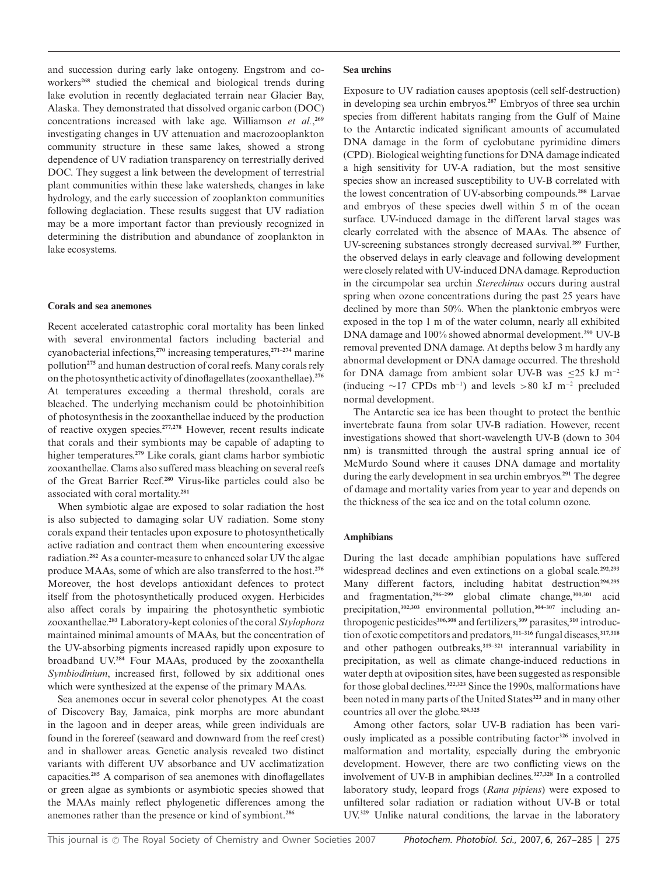and succession during early lake ontogeny. Engstrom and coworkers**<sup>268</sup>** studied the chemical and biological trends during lake evolution in recently deglaciated terrain near Glacier Bay, Alaska. They demonstrated that dissolved organic carbon (DOC) concentrations increased with lake age. Williamson *et al.*, **269** investigating changes in UV attenuation and macrozooplankton community structure in these same lakes, showed a strong dependence of UV radiation transparency on terrestrially derived DOC. They suggest a link between the development of terrestrial plant communities within these lake watersheds, changes in lake hydrology, and the early succession of zooplankton communities following deglaciation. These results suggest that UV radiation may be a more important factor than previously recognized in determining the distribution and abundance of zooplankton in lake ecosystems.

#### **Corals and sea anemones**

Recent accelerated catastrophic coral mortality has been linked with several environmental factors including bacterial and cyanobacterial infections,**<sup>270</sup>** increasing temperatures,**271–274** marine pollution**<sup>275</sup>** and human destruction of coral reefs. Many corals rely on the photosynthetic activity of dinoflagellates (zooxanthellae).**<sup>276</sup>** At temperatures exceeding a thermal threshold, corals are bleached. The underlying mechanism could be photoinhibition of photosynthesis in the zooxanthellae induced by the production of reactive oxygen species.**277,278** However, recent results indicate that corals and their symbionts may be capable of adapting to higher temperatures.**<sup>279</sup>** Like corals, giant clams harbor symbiotic zooxanthellae. Clams also suffered mass bleaching on several reefs of the Great Barrier Reef.**<sup>280</sup>** Virus-like particles could also be associated with coral mortality.**<sup>281</sup>**

When symbiotic algae are exposed to solar radiation the host is also subjected to damaging solar UV radiation. Some stony corals expand their tentacles upon exposure to photosynthetically active radiation and contract them when encountering excessive radiation.**<sup>282</sup>** As a counter-measure to enhanced solar UV the algae produce MAAs, some of which are also transferred to the host.**<sup>276</sup>** Moreover, the host develops antioxidant defences to protect itself from the photosynthetically produced oxygen. Herbicides also affect corals by impairing the photosynthetic symbiotic zooxanthellae.**<sup>283</sup>** Laboratory-kept colonies of the coral *Stylophora* maintained minimal amounts of MAAs, but the concentration of the UV-absorbing pigments increased rapidly upon exposure to broadband UV.**<sup>284</sup>** Four MAAs, produced by the zooxanthella *Symbiodinium*, increased first, followed by six additional ones which were synthesized at the expense of the primary MAAs.

Sea anemones occur in several color phenotypes. At the coast of Discovery Bay, Jamaica, pink morphs are more abundant in the lagoon and in deeper areas, while green individuals are found in the forereef (seaward and downward from the reef crest) and in shallower areas. Genetic analysis revealed two distinct variants with different UV absorbance and UV acclimatization capacities.**<sup>285</sup>** A comparison of sea anemones with dinoflagellates or green algae as symbionts or asymbiotic species showed that the MAAs mainly reflect phylogenetic differences among the anemones rather than the presence or kind of symbiont.**<sup>286</sup>**

#### **Sea urchins**

Exposure to UV radiation causes apoptosis (cell self-destruction) in developing sea urchin embryos.**<sup>287</sup>** Embryos of three sea urchin species from different habitats ranging from the Gulf of Maine to the Antarctic indicated significant amounts of accumulated DNA damage in the form of cyclobutane pyrimidine dimers (CPD). Biological weighting functions for DNA damage indicated a high sensitivity for UV-A radiation, but the most sensitive species show an increased susceptibility to UV-B correlated with the lowest concentration of UV-absorbing compounds.**<sup>288</sup>** Larvae and embryos of these species dwell within 5 m of the ocean surface. UV-induced damage in the different larval stages was clearly correlated with the absence of MAAs. The absence of UV-screening substances strongly decreased survival.**<sup>289</sup>** Further, the observed delays in early cleavage and following development were closely related with UV-induced DNA damage. Reproduction in the circumpolar sea urchin *Sterechinus* occurs during austral spring when ozone concentrations during the past 25 years have declined by more than 50%. When the planktonic embryos were exposed in the top 1 m of the water column, nearly all exhibited DNA damage and 100% showed abnormal development.**<sup>290</sup>** UV-B removal prevented DNA damage. At depths below 3 m hardly any abnormal development or DNA damage occurred. The threshold for DNA damage from ambient solar UV-B was <25 kJ m<sup>-2</sup> (inducing  $\sim$ 17 CPDs mb<sup>-1</sup>) and levels >80 kJ m<sup>-2</sup> precluded normal development.

The Antarctic sea ice has been thought to protect the benthic invertebrate fauna from solar UV-B radiation. However, recent investigations showed that short-wavelength UV-B (down to 304 nm) is transmitted through the austral spring annual ice of McMurdo Sound where it causes DNA damage and mortality during the early development in sea urchin embryos.**<sup>291</sup>** The degree of damage and mortality varies from year to year and depends on the thickness of the sea ice and on the total column ozone.

## **Amphibians**

During the last decade amphibian populations have suffered widespread declines and even extinctions on a global scale.**292,293** Many different factors, including habitat destruction**294,295** and fragmentation,**296–299** global climate change,**300,301** acid precipitation,**302,303** environmental pollution,**304–307** including anthropogenic pesticides**306,308** and fertilizers,**<sup>309</sup>** parasites,**<sup>310</sup>** introduction of exotic competitors and predators,**311–316** fungal diseases,**317,318** and other pathogen outbreaks,**319–321** interannual variability in precipitation, as well as climate change-induced reductions in water depth at oviposition sites, have been suggested as responsible for those global declines.**322,323** Since the 1990s, malformations have been noted in many parts of the United States**<sup>323</sup>** and in many other countries all over the globe.**324,325**

Among other factors, solar UV-B radiation has been variously implicated as a possible contributing factor**<sup>326</sup>** involved in malformation and mortality, especially during the embryonic development. However, there are two conflicting views on the involvement of UV-B in amphibian declines.**327,328** In a controlled laboratory study, leopard frogs (*Rana pipiens*) were exposed to unfiltered solar radiation or radiation without UV-B or total UV.**<sup>329</sup>** Unlike natural conditions, the larvae in the laboratory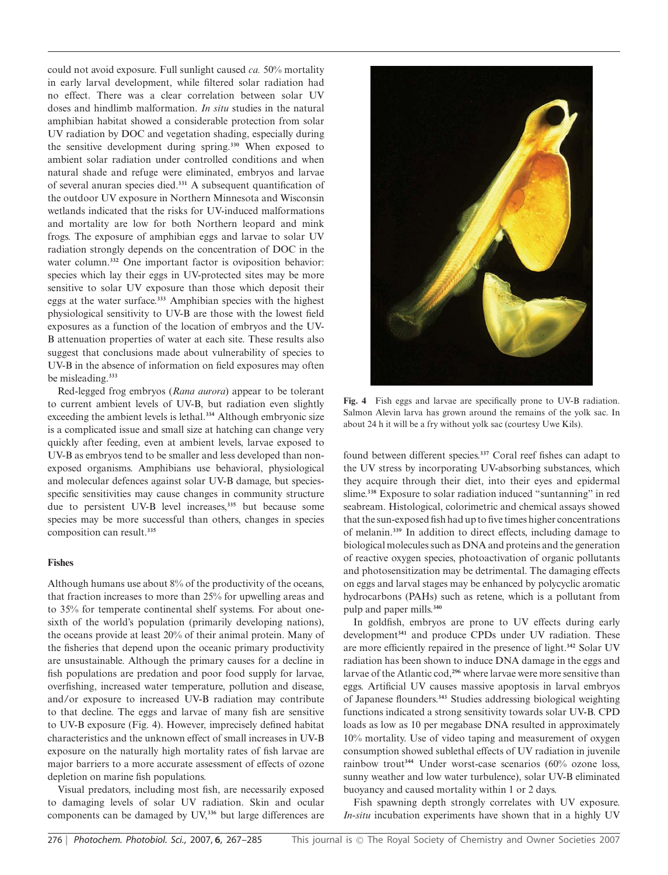could not avoid exposure. Full sunlight caused *ca.* 50% mortality in early larval development, while filtered solar radiation had no effect. There was a clear correlation between solar UV doses and hindlimb malformation. *In situ* studies in the natural amphibian habitat showed a considerable protection from solar UV radiation by DOC and vegetation shading, especially during the sensitive development during spring.**<sup>330</sup>** When exposed to ambient solar radiation under controlled conditions and when natural shade and refuge were eliminated, embryos and larvae of several anuran species died.**<sup>331</sup>** A subsequent quantification of the outdoor UV exposure in Northern Minnesota and Wisconsin wetlands indicated that the risks for UV-induced malformations and mortality are low for both Northern leopard and mink frogs. The exposure of amphibian eggs and larvae to solar UV radiation strongly depends on the concentration of DOC in the water column.<sup>332</sup> One important factor is oviposition behavior: species which lay their eggs in UV-protected sites may be more sensitive to solar UV exposure than those which deposit their eggs at the water surface.**<sup>333</sup>** Amphibian species with the highest physiological sensitivity to UV-B are those with the lowest field exposures as a function of the location of embryos and the UV-B attenuation properties of water at each site. These results also suggest that conclusions made about vulnerability of species to UV-B in the absence of information on field exposures may often be misleading.**<sup>333</sup>**

Red-legged frog embryos (*Rana aurora*) appear to be tolerant to current ambient levels of UV-B, but radiation even slightly exceeding the ambient levels is lethal.**<sup>334</sup>** Although embryonic size is a complicated issue and small size at hatching can change very quickly after feeding, even at ambient levels, larvae exposed to UV-B as embryos tend to be smaller and less developed than nonexposed organisms. Amphibians use behavioral, physiological and molecular defences against solar UV-B damage, but speciesspecific sensitivities may cause changes in community structure due to persistent UV-B level increases,**<sup>335</sup>** but because some species may be more successful than others, changes in species composition can result.**<sup>335</sup>**

#### **Fishes**

Although humans use about 8% of the productivity of the oceans, that fraction increases to more than 25% for upwelling areas and to 35% for temperate continental shelf systems. For about onesixth of the world's population (primarily developing nations), the oceans provide at least 20% of their animal protein. Many of the fisheries that depend upon the oceanic primary productivity are unsustainable. Although the primary causes for a decline in fish populations are predation and poor food supply for larvae, overfishing, increased water temperature, pollution and disease, and/or exposure to increased UV-B radiation may contribute to that decline. The eggs and larvae of many fish are sensitive to UV-B exposure (Fig. 4). However, imprecisely defined habitat characteristics and the unknown effect of small increases in UV-B exposure on the naturally high mortality rates of fish larvae are major barriers to a more accurate assessment of effects of ozone depletion on marine fish populations.

Visual predators, including most fish, are necessarily exposed to damaging levels of solar UV radiation. Skin and ocular components can be damaged by UV,**<sup>336</sup>** but large differences are



**Fig. 4** Fish eggs and larvae are specifically prone to UV-B radiation. Salmon Alevin larva has grown around the remains of the yolk sac. In about 24 h it will be a fry without yolk sac (courtesy Uwe Kils).

found between different species.**<sup>337</sup>** Coral reef fishes can adapt to the UV stress by incorporating UV-absorbing substances, which they acquire through their diet, into their eyes and epidermal slime.**<sup>338</sup>** Exposure to solar radiation induced "suntanning" in red seabream. Histological, colorimetric and chemical assays showed that the sun-exposed fish had up to five times higher concentrations of melanin.**<sup>339</sup>** In addition to direct effects, including damage to biological molecules such as DNA and proteins and the generation of reactive oxygen species, photoactivation of organic pollutants and photosensitization may be detrimental. The damaging effects on eggs and larval stages may be enhanced by polycyclic aromatic hydrocarbons (PAHs) such as retene, which is a pollutant from pulp and paper mills.**<sup>340</sup>**

In goldfish, embryos are prone to UV effects during early development**<sup>341</sup>** and produce CPDs under UV radiation. These are more efficiently repaired in the presence of light.**<sup>342</sup>** Solar UV radiation has been shown to induce DNA damage in the eggs and larvae of the Atlantic cod,**<sup>296</sup>** where larvae were more sensitive than eggs. Artificial UV causes massive apoptosis in larval embryos of Japanese flounders.**<sup>343</sup>** Studies addressing biological weighting functions indicated a strong sensitivity towards solar UV-B. CPD loads as low as 10 per megabase DNA resulted in approximately 10% mortality. Use of video taping and measurement of oxygen consumption showed sublethal effects of UV radiation in juvenile rainbow trout**<sup>344</sup>** Under worst-case scenarios (60% ozone loss, sunny weather and low water turbulence), solar UV-B eliminated buoyancy and caused mortality within 1 or 2 days.

Fish spawning depth strongly correlates with UV exposure. *In-situ* incubation experiments have shown that in a highly UV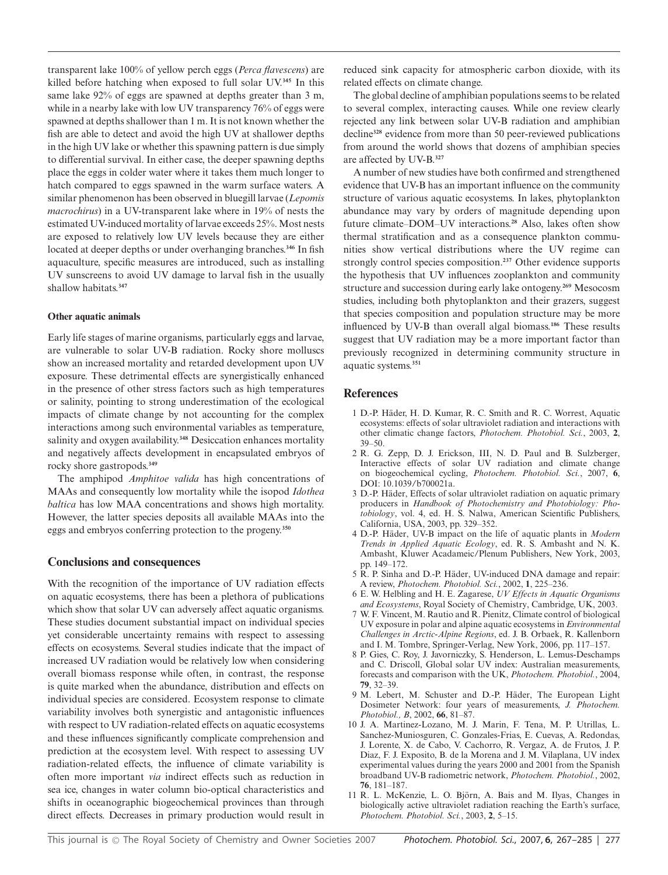transparent lake 100% of yellow perch eggs (*Perca flavescens*) are killed before hatching when exposed to full solar UV.**<sup>345</sup>** In this same lake 92% of eggs are spawned at depths greater than 3 m, while in a nearby lake with low UV transparency 76% of eggs were spawned at depths shallower than 1 m. It is not known whether the fish are able to detect and avoid the high UV at shallower depths in the high UV lake or whether this spawning pattern is due simply to differential survival. In either case, the deeper spawning depths place the eggs in colder water where it takes them much longer to hatch compared to eggs spawned in the warm surface waters. A similar phenomenon has been observed in bluegill larvae (*Lepomis macrochirus*) in a UV-transparent lake where in 19% of nests the estimated UV-induced mortality of larvae exceeds 25%. Most nests are exposed to relatively low UV levels because they are either located at deeper depths or under overhanging branches.**<sup>346</sup>** In fish aquaculture, specific measures are introduced, such as installing UV sunscreens to avoid UV damage to larval fish in the usually shallow habitats.**<sup>347</sup>**

## **Other aquatic animals**

Early life stages of marine organisms, particularly eggs and larvae, are vulnerable to solar UV-B radiation. Rocky shore molluscs show an increased mortality and retarded development upon UV exposure. These detrimental effects are synergistically enhanced in the presence of other stress factors such as high temperatures or salinity, pointing to strong underestimation of the ecological impacts of climate change by not accounting for the complex interactions among such environmental variables as temperature, salinity and oxygen availability.**<sup>348</sup>** Desiccation enhances mortality and negatively affects development in encapsulated embryos of rocky shore gastropods.**<sup>349</sup>**

The amphipod *Amphitoe valida* has high concentrations of MAAs and consequently low mortality while the isopod *Idothea baltica* has low MAA concentrations and shows high mortality. However, the latter species deposits all available MAAs into the eggs and embryos conferring protection to the progeny.**<sup>350</sup>**

## **Conclusions and consequences**

With the recognition of the importance of UV radiation effects on aquatic ecosystems, there has been a plethora of publications which show that solar UV can adversely affect aquatic organisms. These studies document substantial impact on individual species yet considerable uncertainty remains with respect to assessing effects on ecosystems. Several studies indicate that the impact of increased UV radiation would be relatively low when considering overall biomass response while often, in contrast, the response is quite marked when the abundance, distribution and effects on individual species are considered. Ecosystem response to climate variability involves both synergistic and antagonistic influences with respect to UV radiation-related effects on aquatic ecosystems and these influences significantly complicate comprehension and prediction at the ecosystem level. With respect to assessing UV radiation-related effects, the influence of climate variability is often more important *via* indirect effects such as reduction in sea ice, changes in water column bio-optical characteristics and shifts in oceanographic biogeochemical provinces than through direct effects. Decreases in primary production would result in

reduced sink capacity for atmospheric carbon dioxide, with its related effects on climate change.

The global decline of amphibian populations seems to be related to several complex, interacting causes. While one review clearly rejected any link between solar UV-B radiation and amphibian decline**<sup>328</sup>** evidence from more than 50 peer-reviewed publications from around the world shows that dozens of amphibian species are affected by UV-B.**<sup>327</sup>**

A number of new studies have both confirmed and strengthened evidence that UV-B has an important influence on the community structure of various aquatic ecosystems. In lakes, phytoplankton abundance may vary by orders of magnitude depending upon future climate–DOM–UV interactions.**<sup>28</sup>** Also, lakes often show thermal stratification and as a consequence plankton communities show vertical distributions where the UV regime can strongly control species composition.**<sup>237</sup>** Other evidence supports the hypothesis that UV influences zooplankton and community structure and succession during early lake ontogeny.**<sup>269</sup>** Mesocosm studies, including both phytoplankton and their grazers, suggest that species composition and population structure may be more influenced by UV-B than overall algal biomass.**<sup>186</sup>** These results suggest that UV radiation may be a more important factor than previously recognized in determining community structure in aquatic systems.**<sup>351</sup>**

## **References**

- 1 D.-P. Hader, H. D. Kumar, R. C. Smith and R. C. Worrest, Aquatic ¨ ecosystems: effects of solar ultraviolet radiation and interactions with other climatic change factors, *Photochem. Photobiol. Sci.*, 2003, **2**, 39–50.
- 2 R. G. Zepp, D. J. Erickson, III, N. D. Paul and B. Sulzberger, Interactive effects of solar UV radiation and climate change on biogeochemical cycling, *Photochem. Photobiol. Sci.*, 2007, **6**, DOI: 10.1039/b700021a.
- 3 D.-P. Häder, Effects of solar ultraviolet radiation on aquatic primary producers in *Handbook of Photochemistry and Photobiology: Photobiology*, vol. 4, ed. H. S. Nalwa, American Scientific Publishers, California, USA, 2003, pp. 329–352.
- 4 D.-P. Häder, UV-B impact on the life of aquatic plants in *Modern Trends in Applied Aquatic Ecology*, ed. R. S. Ambasht and N. K. Ambasht, Kluwer Acadameic/Plenum Publishers, New York, 2003, pp. 149–172.
- 5 R. P. Sinha and D.-P. Häder, UV-induced DNA damage and repair: A review, *Photochem. Photobiol. Sci.*, 2002, **1**, 225–236.
- 6 E. W. Helbling and H. E. Zagarese, *UV Effects in Aquatic Organisms and Ecosystems*, Royal Society of Chemistry, Cambridge, UK, 2003.
- 7 W. F. Vincent, M. Rautio and R. Pienitz, Climate control of biological UV exposure in polar and alpine aquatic ecosystems in *Environmental Challenges in Arctic-Alpine Regions*, ed. J. B. Orbaek, R. Kallenborn and I. M. Tombre, Springer-Verlag, New York, 2006, pp. 117–157.
- 8 P. Gies, C. Roy, J. Javorniczky, S. Henderson, L. Lemus-Deschamps and C. Driscoll, Global solar UV index: Australian measurements, forecasts and comparison with the UK, *Photochem. Photobiol.*, 2004, **79**, 32–39.
- 9 M. Lebert, M. Schuster and D.-P. Häder, The European Light Dosimeter Network: four years of measurements, *J. Photochem. Photobiol., B*, 2002, **66**, 81–87.
- 10 J. A. Martinez-Lozano, M. J. Marin, F. Tena, M. P. Utrillas, L. Sanchez-Muniosguren, C. Gonzales-Frias, E. Cuevas, A. Redondas, J. Lorente, X. de Cabo, V. Cachorro, R. Vergaz, A. de Frutos, J. P. Diaz, F. J. Exposito, B. de la Morena and J. M. Vilaplana, UV index experimental values during the years 2000 and 2001 from the Spanish broadband UV-B radiometric network, *Photochem. Photobiol.*, 2002, **76**, 181–187.
- 11 R. L. McKenzie, L. O. Björn, A. Bais and M. Ilyas, Changes in biologically active ultraviolet radiation reaching the Earth's surface, *Photochem. Photobiol. Sci.*, 2003, **2**, 5–15.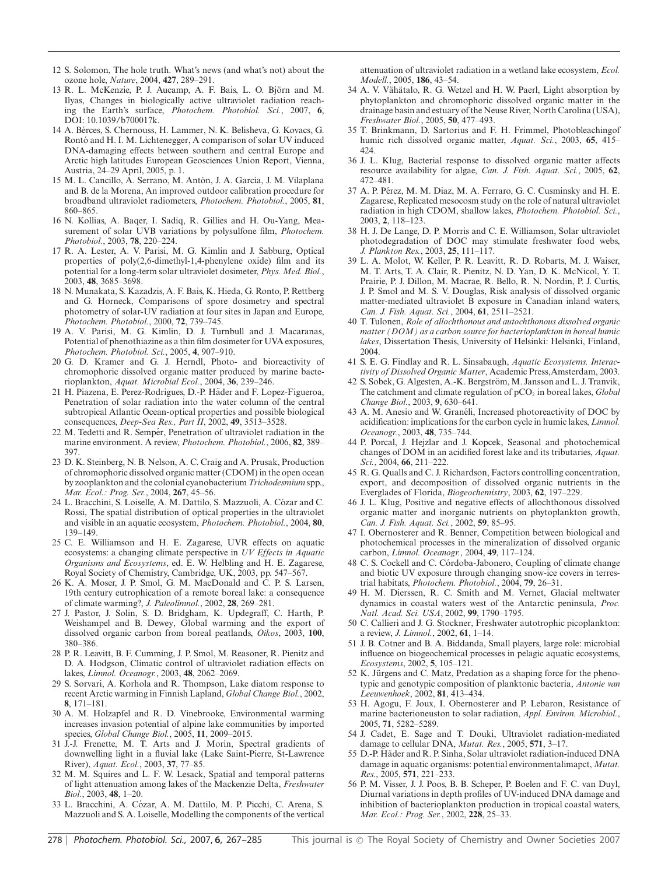- 12 S. Solomon, The hole truth. What's news (and what's not) about the ozone hole, *Nature*, 2004, **427**, 289–291.
- 13 R. L. McKenzie, P. J. Aucamp, A. F. Bais, L. O. Björn and M. Ilyas, Changes in biologically active ultraviolet radiation reaching the Earth's surface, *Photochem. Photobiol. Sci.*, 2007, **6**, DOI: 10.1039/b700017k.
- 14 A. Berces, S. Chernouss, H. Lammer, N. K. Belisheva, G. Kovacs, G. ´ Rontó and H. I. M. Lichtenegger, A comparison of solar UV induced DNA-damaging effects between southern and central Europe and Arctic high latitudes European Geosciences Union Report, Vienna, Austria, 24–29 April, 2005, p. 1.
- 15 M. L. Cancillo, A. Serrano, M. Antón, J. A. García, J. M. Vilaplana and B. de la Morena, An improved outdoor calibration procedure for broadband ultraviolet radiometers, *Photochem. Photobiol.*, 2005, **81**, 860–865.
- 16 N. Kollias, A. Baqer, I. Sadiq, R. Gillies and H. Ou-Yang, Measurement of solar UVB variations by polysulfone film, *Photochem. Photobiol.*, 2003, **78**, 220–224.
- 17 R. A. Lester, A. V. Parisi, M. G. Kimlin and J. Sabburg, Optical properties of poly(2,6-dimethyl-1,4-phenylene oxide) film and its potential for a long-term solar ultraviolet dosimeter, *Phys. Med. Biol.*, 2003, **48**, 3685–3698.
- 18 N. Munakata, S. Kazadzis, A. F. Bais, K. Hieda, G. Ronto, P. Rettberg and G. Horneck, Comparisons of spore dosimetry and spectral photometry of solar-UV radiation at four sites in Japan and Europe, *Photochem. Photobiol.*, 2000, **72**, 739–745.
- 19 A. V. Parisi, M. G. Kimlin, D. J. Turnbull and J. Macaranas, Potential of phenothiazine as a thin film dosimeter for UVA exposures, *Photochem. Photobiol. Sci.*, 2005, **4**, 907–910.
- 20 G. D. Kramer and G. J. Herndl, Photo- and bioreactivity of chromophoric dissolved organic matter produced by marine bacterioplankton, *Aquat. Microbial Ecol.*, 2004, **36**, 239–246.
- 21 H. Piazena, E. Perez-Rodrigues, D.-P. Häder and F. Lopez-Figueroa, Penetration of solar radiation into the water column of the central subtropical Atlantic Ocean-optical properties and possible biological consequences, *Deep-Sea Res., Part II*, 2002, **49**, 3513–3528.
- 22 M. Tedetti and R. Semper, Penetration of ultraviolet radiation in the marine environment. A review, *Photochem. Photobiol.*, 2006, **82**, 389– 397.
- 23 D. K. Steinberg, N. B. Nelson, A. C. Craig and A. Prusak, Production of chromophoric dissolved organic matter (CDOM) in the open ocean by zooplankton and the colonial cyanobacterium *Trichodesmium* spp., *Mar. Ecol.: Prog. Ser.*, 2004, **267**, 45–56.
- 24 L. Bracchini, S. Loiselle, A. M. Dattilo, S. Mazzuoli, A. Cózar and C. Rossi, The spatial distribution of optical properties in the ultraviolet and visible in an aquatic ecosystem, *Photochem. Photobiol.*, 2004, **80**, 139–149.
- 25 C. E. Williamson and H. E. Zagarese, UVR effects on aquatic ecosystems: a changing climate perspective in *UV Effects in Aquatic Organisms and Ecosystems*, ed. E. W. Helbling and H. E. Zagarese, Royal Society of Chemistry, Cambridge, UK, 2003, pp. 547–567.
- 26 K. A. Moser, J. P. Smol, G. M. MacDonald and C. P. S. Larsen, 19th century eutrophication of a remote boreal lake: a consequence of climate warming?, *J. Paleolimnol.*, 2002, **28**, 269–281.
- 27 J. Pastor, J. Solin, S. D. Bridgham, K. Updegraff, C. Harth, P. Weishampel and B. Dewey, Global warming and the export of dissolved organic carbon from boreal peatlands, *Oikos*, 2003, **100**, 380–386.
- 28 P. R. Leavitt, B. F. Cumming, J. P. Smol, M. Reasoner, R. Pienitz and D. A. Hodgson, Climatic control of ultraviolet radiation effects on lakes, *Limnol. Oceanogr.*, 2003, **48**, 2062–2069.
- 29 S. Sorvari, A. Korhola and R. Thompson, Lake diatom response to recent Arctic warming in Finnish Lapland, *Global Change Biol.*, 2002, **8**, 171–181.
- 30 A. M. Holzapfel and R. D. Vinebrooke, Environmental warming increases invasion potential of alpine lake communities by imported species, *Global Change Biol.*, 2005, **11**, 2009–2015.
- 31 J.-J. Frenette, M. T. Arts and J. Morin, Spectral gradients of downwelling light in a fluvial lake (Lake Saint-Pierre, St-Lawrence River), *Aquat. Ecol.*, 2003, **37**, 77–85.
- 32 M. M. Squires and L. F. W. Lesack, Spatial and temporal patterns of light attenuation among lakes of the Mackenzie Delta, *Freshwater Biol.*, 2003, **48**, 1–20.
- 33 L. Bracchini, A. Cozar, A. M. Dattilo, M. P. Picchi, C. Arena, S. ´ Mazzuoli and S. A. Loiselle, Modelling the components of the vertical

attenuation of ultraviolet radiation in a wetland lake ecosystem, *Ecol. Modell.*, 2005, **186**, 43–54.

- 34 A. V. Vähätalo, R. G. Wetzel and H. W. Paerl, Light absorption by phytoplankton and chromophoric dissolved organic matter in the drainage basin and estuary of the Neuse River, North Carolina (USA), *Freshwater Biol.*, 2005, **50**, 477–493.
- 35 T. Brinkmann, D. Sartorius and F. H. Frimmel, Photobleachingof humic rich dissolved organic matter, *Aquat. Sci.*, 2003, **65**, 415– 424.
- 36 J. L. Klug, Bacterial response to dissolved organic matter affects resource availability for algae, *Can. J. Fish. Aquat. Sci.*, 2005, **62**, 472–481.
- 37 A. P. Perez, M. M. Diaz, M. A. Ferraro, G. C. Cusminsky and H. E. ´ Zagarese, Replicated mesocosm study on the role of natural ultraviolet radiation in high CDOM, shallow lakes, *Photochem. Photobiol. Sci.*, 2003, **2**, 118–123.
- 38 H. J. De Lange, D. P. Morris and C. E. Williamson, Solar ultraviolet photodegradation of DOC may stimulate freshwater food webs, *J. Plankton Res.*, 2003, **25**, 111–117.
- 39 L. A. Molot, W. Keller, P. R. Leavitt, R. D. Robarts, M. J. Waiser, M. T. Arts, T. A. Clair, R. Pienitz, N. D. Yan, D. K. McNicol, Y. T. Prairie, P. J. Dillon, M. Macrae, R. Bello, R. N. Nordin, P. J. Curtis, J. P. Smol and M. S. V. Douglas, Risk analysis of dissolved organic matter-mediated ultraviolet B exposure in Canadian inland waters, *Can. J. Fish. Aquat. Sci.*, 2004, **61**, 2511–2521.
- 40 T. Tulonen, *Role of allochthonous and autochthonous dissolved organic matter (DOM) as a carbon source for bacterioplankton in boreal humic lakes*, Dissertation Thesis, University of Helsinki: Helsinki, Finland, 2004.
- 41 S. E. G. Findlay and R. L. Sinsabaugh, *Aquatic Ecosystems. Interactivity of Dissolved Organic Matter*, Academic Press,Amsterdam, 2003.
- 42 S. Sobek, G. Algesten, A.-K. Bergström, M. Jansson and L. J. Tranvik, The catchment and climate regulation of pCO<sub>2</sub> in boreal lakes, *Global Change Biol.*, 2003, **9**, 630–641.
- 43 A. M. Anesio and W. Graneli, Increased photoreactivity of DOC by acidification: implications for the carbon cycle in humic lakes, *Limnol. Oceanogr.*, 2003, **48**, 735–744.
- 44 P. Porcal, J. Hejzlar and J. Kopcek, Seasonal and photochemical changes of DOM in an acidified forest lake and its tributaries, *Aquat. Sci.*, 2004, **66**, 211–222.
- 45 R. G. Qualls and C. J. Richardson, Factors controlling concentration, export, and decomposition of dissolved organic nutrients in the Everglades of Florida, *Biogeochemistry*, 2003, **62**, 197–229.
- 46 J. L. Klug, Positive and negative effects of allochthonous dissolved organic matter and inorganic nutrients on phytoplankton growth, *Can. J. Fish. Aquat. Sci.*, 2002, **59**, 85–95.
- 47 I. Obernosterer and R. Benner, Competition between biological and photochemical processes in the mineralization of dissolved organic carbon, *Limnol. Oceanogr.*, 2004, **49**, 117–124.
- 48 C. S. Cockell and C. Córdoba-Jabonero, Coupling of climate change and biotic UV exposure through changing snow-ice covers in terrestrial habitats, *Photochem. Photobiol.*, 2004, **79**, 26–31.
- 49 H. M. Dierssen, R. C. Smith and M. Vernet, Glacial meltwater dynamics in coastal waters west of the Antarctic peninsula, *Proc. Natl. Acad. Sci. USA*, 2002, **99**, 1790–1795.
- 50 C. Callieri and J. G. Stockner, Freshwater autotrophic picoplankton: a review, *J. Limnol.*, 2002, **61**, 1–14.
- 51 J. B. Cotner and B. A. Biddanda, Small players, large role: microbial influence on biogeochemical processes in pelagic aquatic ecosystems, *Ecosystems*, 2002, **5**, 105–121.
- 52 K. Jürgens and C. Matz, Predation as a shaping force for the phenotypic and genotypic composition of planktonic bacteria, *Antonie van Leeuwenhoek*, 2002, **81**, 413–434.
- 53 H. Agogu, F. Joux, I. Obernosterer and P. Lebaron, Resistance of marine bacterioneuston to solar radiation, *Appl. Environ. Microbiol.*, 2005, **71**, 5282–5289.
- 54 J. Cadet, E. Sage and T. Douki, Ultraviolet radiation-mediated damage to cellular DNA, *Mutat. Res.*, 2005, **571**, 3–17.
- 55 D.-P. Häder and R. P. Sinha, Solar ultraviolet radiation-induced DNA damage in aquatic organisms: potential environmentalimapct, *Mutat. Res.*, 2005, **571**, 221–233.
- 56 P. M. Visser, J. J. Poos, B. B. Scheper, P. Boelen and F. C. van Duyl, Diurnal variations in depth profiles of UV-induced DNA damage and inhibition of bacterioplankton production in tropical coastal waters, *Mar. Ecol.: Prog. Ser.*, 2002, **228**, 25–33.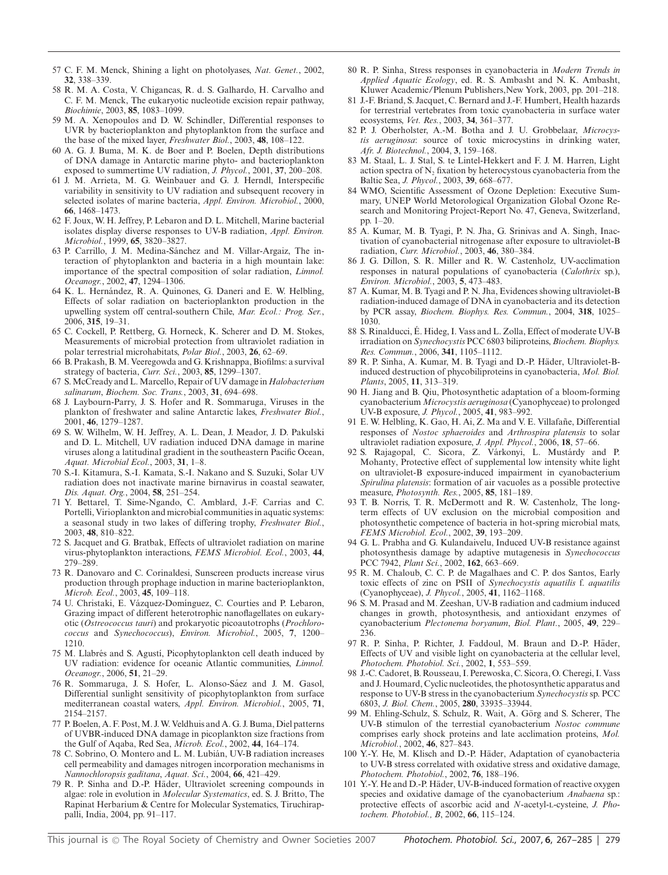- 57 C. F. M. Menck, Shining a light on photolyases, *Nat. Genet.*, 2002, **32**, 338–339.
- 58 R. M. A. Costa, V. Chigancas, R. d. S. Galhardo, H. Carvalho and C. F. M. Menck, The eukaryotic nucleotide excision repair pathway, *Biochimie*, 2003, **85**, 1083–1099.
- 59 M. A. Xenopoulos and D. W. Schindler, Differential responses to UVR by bacterioplankton and phytoplankton from the surface and the base of the mixed layer, *Freshwater Biol.*, 2003, **48**, 108–122.
- 60 A. G. J. Buma, M. K. de Boer and P. Boelen, Depth distributions of DNA damage in Antarctic marine phyto- and bacterioplankton exposed to summertime UV radiation, *J. Phycol.*, 2001, **37**, 200–208.
- 61 J. M. Arrieta, M. G. Weinbauer and G. J. Herndl, Interspecific variability in sensitivity to UV radiation and subsequent recovery in selected isolates of marine bacteria, *Appl. Environ. Microbiol.*, 2000, **66**, 1468–1473.
- 62 F. Joux, W. H. Jeffrey, P. Lebaron and D. L. Mitchell, Marine bacterial isolates display diverse responses to UV-B radiation, *Appl. Environ. Microbiol.*, 1999, **65**, 3820–3827.
- 63 P. Carrillo, J. M. Medina-Sánchez and M. Villar-Argaiz, The interaction of phytoplankton and bacteria in a high mountain lake: importance of the spectral composition of solar radiation, *Limnol. Oceanogr.*, 2002, **47**, 1294–1306.
- 64 K. L. Hernández, R. A. Quinones, G. Daneri and E. W. Helbling, Effects of solar radiation on bacterioplankton production in the upwelling system off central-southern Chile, *Mar. Ecol.: Prog. Ser.*, 2006, **315**, 19–31.
- 65 C. Cockell, P. Rettberg, G. Horneck, K. Scherer and D. M. Stokes, Measurements of microbial protection from ultraviolet radiation in polar terrestrial microhabitats, *Polar Biol.*, 2003, **26**, 62–69.
- 66 B. Prakash, B.M. Veeregowda and G. Krishnappa, Biofilms: a survival strategy of bacteria, *Curr. Sci.*, 2003, **85**, 1299–1307.
- 67 S.McCready and L.Marcello, Repair of UV damage in *Halobacterium salinarum*, *Biochem. Soc. Trans.*, 2003, **31**, 694–698.
- 68 J. Laybourn-Parry, J. S. Hofer and R. Sommaruga, Viruses in the plankton of freshwater and saline Antarctic lakes, *Freshwater Biol.*, 2001, **46**, 1279–1287.
- 69 S. W. Wilhelm, W. H. Jeffrey, A. L. Dean, J. Meador, J. D. Pakulski and D. L. Mitchell, UV radiation induced DNA damage in marine viruses along a latitudinal gradient in the southeastern Pacific Ocean, *Aquat. Microbial Ecol.*, 2003, **31**, 1–8.
- 70 S.-I. Kitamura, S.-I. Kamata, S.-I. Nakano and S. Suzuki, Solar UV radiation does not inactivate marine birnavirus in coastal seawater, *Dis. Aquat. Org.*, 2004, **58**, 251–254.
- 71 Y. Bettarel, T. Sime-Ngando, C. Amblard, J.-F. Carrias and C. Portelli, Virioplankton and microbial communities in aquatic systems: a seasonal study in two lakes of differing trophy, *Freshwater Biol.*, 2003, **48**, 810–822.
- 72 S. Jacquet and G. Bratbak, Effects of ultraviolet radiation on marine virus-phytoplankton interactions, *FEMS Microbiol. Ecol.*, 2003, **44**, 279–289.
- 73 R. Danovaro and C. Corinaldesi, Sunscreen products increase virus production through prophage induction in marine bacterioplankton, *Microb. Ecol.*, 2003, **45**, 109–118.
- 74 U. Christaki, E. Vázquez-Domínguez, C. Courties and P. Lebaron, Grazing impact of different heterotrophic nanoflagellates on eukaryotic (*Ostreococcus tauri*) and prokaryotic picoautotrophs (*Prochlorococcus* and *Synechococcus*), *Environ. Microbiol.*, 2005, **7**, 1200– 1210.
- 75 M. Llabrés and S. Agustí, Picophytoplankton cell death induced by UV radiation: evidence for oceanic Atlantic communities, *Limnol. Oceanogr.*, 2006, **51**, 21–29.
- 76 R. Sommaruga, J. S. Hofer, L. Alonso-Sáez and J. M. Gasol, Differential sunlight sensitivity of picophytoplankton from surface mediterranean coastal waters, *Appl. Environ. Microbiol.*, 2005, **71**, 2154–2157.
- 77 P. Boelen, A. F. Post, M. J. W. Veldhuis and A. G. J. Buma, Diel patterns of UVBR-induced DNA damage in picoplankton size fractions from the Gulf of Aqaba, Red Sea, *Microb. Ecol.*, 2002, **44**, 164–174.
- 78 C. Sobrino, O. Montero and L. M. Lubian, UV-B radiation increases ´ cell permeability and damages nitrogen incorporation mechanisms in *Nannochloropsis gaditana*, *Aquat. Sci.*, 2004, **66**, 421–429.
- 79 R. P. Sinha and D.-P. Häder, Ultraviolet screening compounds in algae: role in evolution in *Molecular Systematics*, ed. S. J. Britto, The Rapinat Herbarium & Centre for Molecular Systematics, Tiruchirappalli, India, 2004, pp. 91–117.
- 80 R. P. Sinha, Stress responses in cyanobacteria in *Modern Trends in Applied Aquatic Ecology*, ed. R. S. Ambasht and N. K. Ambasht, Kluwer Academic/Plenum Publishers,New York, 2003, pp. 201–218.
- 81 J.-F. Briand, S. Jacquet, C. Bernard and J.-F. Humbert, Health hazards for terrestrial vertebrates from toxic cyanobacteria in surface water ecosystems, *Vet. Res.*, 2003, **34**, 361–377.
- 82 P. J. Oberholster, A.-M. Botha and J. U. Grobbelaar, *Microcystis aeruginosa*: source of toxic microcystins in drinking water, *Afr. J. Biotechnol.*, 2004, **3**, 159–168.
- 83 M. Staal, L. J. Stal, S. te Lintel-Hekkert and F. J. M. Harren, Light action spectra of  $N_2$  fixation by heterocystous cyanobacteria from the Baltic Sea, *J. Phycol.*, 2003, **39**, 668–677.
- 84 WMO, Scientific Assessment of Ozone Depletion: Executive Summary, UNEP World Metorological Organization Global Ozone Research and Monitoring Project-Report No. 47, Geneva, Switzerland, pp. 1–20.
- 85 A. Kumar, M. B. Tyagi, P. N. Jha, G. Srinivas and A. Singh, Inactivation of cyanobacterial nitrogenase after exposure to ultraviolet-B radiation, *Curr. Microbiol.*, 2003, **46**, 380–384.
- 86 J. G. Dillon, S. R. Miller and R. W. Castenholz, UV-acclimation responses in natural populations of cyanobacteria (*Calothrix* sp.), *Environ. Microbiol.*, 2003, **5**, 473–483.
- 87 A. Kumar, M. B. Tyagi and P. N. Jha, Evidences showing ultraviolet-B radiation-induced damage of DNA in cyanobacteria and its detection by PCR assay, *Biochem. Biophys. Res. Commun.*, 2004, **318**, 1025– 1030.
- 88 S. Rinalducci, E. Hideg, I. Vass and L. Zolla, Effect of moderate UV-B ´ irradiation on *Synechocystis* PCC 6803 biliproteins, *Biochem. Biophys. Res. Commun.*, 2006, **341**, 1105–1112.
- 89 R. P. Sinha, A. Kumar, M. B. Tyagi and D.-P. Hader, Ultraviolet-B- ¨ induced destruction of phycobiliproteins in cyanobacteria, *Mol. Biol. Plants*, 2005, **11**, 313–319.
- 90 H. Jiang and B. Qiu, Photosynthetic adaptation of a bloom-forming cyanobacterium *Microcystis aeruginosa* (Cyanophyceae) to prolonged UV-B exposure, *J. Phycol.*, 2005, **41**, 983–992.
- 91 E. W. Helbling, K. Gao, H. Ai, Z. Ma and V. E. Villafañe, Differential responses of *Nostoc sphaeroides* and *Arthrospira platensis* to solar ultraviolet radiation exposure, *J. Appl. Phycol.*, 2006, **18**, 57–66.
- 92 S. Rajagopal, C. Sicora, Z. Várkonyi, L. Mustárdy and P. Mohanty, Protective effect of supplemental low intensity white light on ultraviolet-B exposure-induced impairment in cyanobacterium *Spirulina platensis*: formation of air vacuoles as a possible protective measure, *Photosynth. Res.*, 2005, **85**, 181–189.
- 93 T. B. Norris, T. R. McDermott and R. W. Castenholz, The longterm effects of UV exclusion on the microbial composition and photosynthetic competence of bacteria in hot-spring microbial mats, *FEMS Microbiol. Ecol.*, 2002, **39**, 193–209.
- 94 G. L. Prabha and G. Kulandaivelu, Induced UV-B resistance against photosynthesis damage by adaptive mutagenesis in *Synechococcus* PCC 7942, *Plant Sci.*, 2002, **162**, 663–669.
- 95 R. M. Chaloub, C. C. P. de Magalhaes and C. P. dos Santos, Early toxic effects of zinc on PSII of *Synechocystis aquatilis* f. *aquatilis* (Cyanophyceae), *J. Phycol.*, 2005, **41**, 1162–1168.
- 96 S. M. Prasad and M. Zeeshan, UV-B radiation and cadmium induced changes in growth, photosynthesis, and antioxidant enzymes of cyanobacterium *Plectonema boryanum*, *Biol. Plant.*, 2005, **49**, 229– 236.
- 97 R. P. Sinha, P. Richter, J. Faddoul, M. Braun and D.-P. Häder, Effects of UV and visible light on cyanobacteria at the cellular level, *Photochem. Photobiol. Sci.*, 2002, **1**, 553–559.
- 98 J.-C. Cadoret, B. Rousseau, I. Perewoska, C. Sicora, O. Cheregi, I. Vass and J. Houmard, Cyclic nucleotides, the photosynthetic apparatus and response to UV-B stress in the cyanobacterium *Synechocystis* sp. PCC 6803, *J. Biol. Chem.*, 2005, **280**, 33935–33944.
- 99 M. Ehling-Schulz, S. Schulz, R. Wait, A. Görg and S. Scherer, The UV-B stimulon of the terrestial cyanobacterium *Nostoc commune* comprises early shock proteins and late acclimation proteins, *Mol. Microbiol.*, 2002, **46**, 827–843.
- 100 Y.-Y. He, M. Klisch and D.-P. Häder, Adaptation of cyanobacteria to UV-B stress correlated with oxidative stress and oxidative damage, *Photochem. Photobiol.*, 2002, **76**, 188–196.
- 101 Y.-Y. He and D.-P. Häder, UV-B-induced formation of reactive oxygen species and oxidative damage of the cyanobacterium *Anabaena* sp.: protective effects of ascorbic acid and *N*-acetyl-L-cysteine, *J. Photochem. Photobiol., B*, 2002, **66**, 115–124.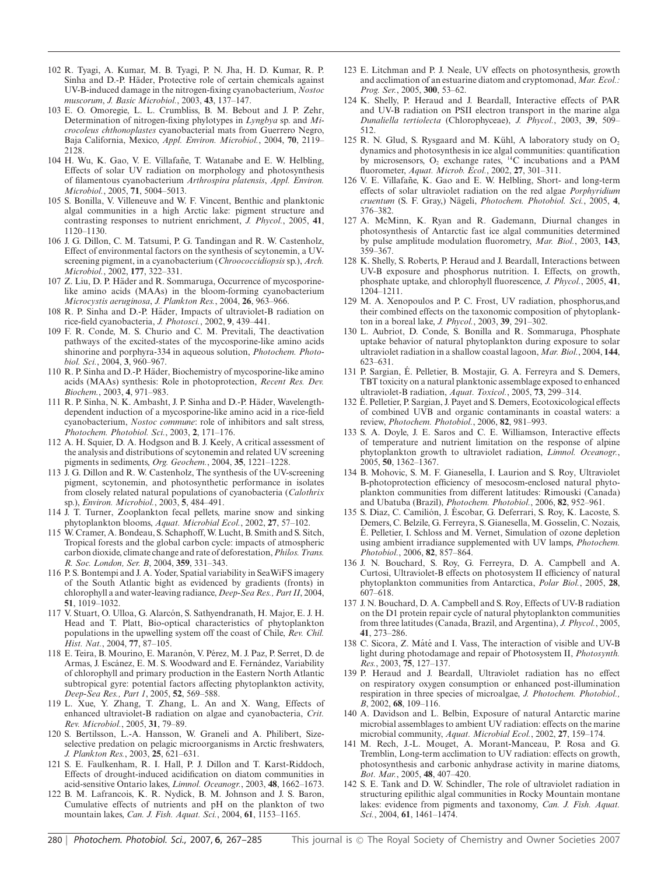- 102 R. Tyagi, A. Kumar, M. B. Tyagi, P. N. Jha, H. D. Kumar, R. P. Sinha and D.-P. Häder, Protective role of certain chemicals against UV-B-induced damage in the nitrogen-fixing cyanobacterium, *Nostoc muscorum*, *J. Basic Microbiol.*, 2003, **43**, 137–147.
- 103 E. O. Omoregie, L. L. Crumbliss, B. M. Bebout and J. P. Zehr, Determination of nitrogen-fixing phylotypes in *Lyngbya* sp. and *Microcoleus chthonoplastes* cyanobacterial mats from Guerrero Negro, Baja California, Mexico, *Appl. Environ. Microbiol.*, 2004, **70**, 2119– 2128.
- 104 H. Wu, K. Gao, V. E. Villafañe, T. Watanabe and E. W. Helbling, Effects of solar UV radiation on morphology and photosynthesis of filamentous cyanobacterium *Arthrospira platensis*, *Appl. Environ. Microbiol.*, 2005, **71**, 5004–5013.
- 105 S. Bonilla, V. Villeneuve and W. F. Vincent, Benthic and planktonic algal communities in a high Arctic lake: pigment structure and contrasting responses to nutrient enrichment, *J. Phycol.*, 2005, **41**, 1120–1130.
- 106 J. G. Dillon, C. M. Tatsumi, P. G. Tandingan and R. W. Castenholz, Effect of environmental factors on the synthesis of scytonemin, a UVscreening pigment, in a cyanobacterium (*Chroococcidiopsis* sp.), *Arch. Microbiol.*, 2002, **177**, 322–331.
- 107 Z. Liu, D. P. Häder and R. Sommaruga, Occurrence of mycosporinelike amino acids (MAAs) in the bloom-forming cyanobacterium *Microcystis aeruginosa*, *J. Plankton Res.*, 2004, **26**, 963–966.
- 108 R. P. Sinha and D.-P. Häder, Impacts of ultraviolet-B radiation on rice-field cyanobacteria, *J. Photosci.*, 2002, **9**, 439–441.
- 109 F. R. Conde, M. S. Churio and C. M. Previtali, The deactivation pathways of the excited-states of the mycosporine-like amino acids shinorine and porphyra-334 in aqueous solution, *Photochem. Photobiol. Sci.*, 2004, **3**, 960–967.
- 110 R. P. Sinha and D.-P. Häder, Biochemistry of mycosporine-like amino acids (MAAs) synthesis: Role in photoprotection, *Recent Res. Dev. Biochem.*, 2003, **4**, 971–983.
- 111 R. P. Sinha, N. K. Ambasht, J. P. Sinha and D.-P. Hader, Wavelength- ¨ dependent induction of a mycosporine-like amino acid in a rice-field cyanobacterium, *Nostoc commune*: role of inhibitors and salt stress, *Photochem. Photobiol. Sci.*, 2003, **2**, 171–176.
- 112 A. H. Squier, D. A. Hodgson and B. J. Keely, A critical assessment of the analysis and distributions of scytonemin and related UV screening pigments in sediments, *Org. Geochem.*, 2004, **35**, 1221–1228.
- 113 J. G. Dillon and R. W. Castenholz, The synthesis of the UV-screening pigment, scytonemin, and photosynthetic performance in isolates from closely related natural populations of cyanobacteria (*Calothrix* sp.), *Environ. Microbiol.*, 2003, **5**, 484–491.
- 114 J. T. Turner, Zooplankton fecal pellets, marine snow and sinking phytoplankton blooms, *Aquat. Microbial Ecol.*, 2002, **27**, 57–102.
- 115 W. Cramer, A. Bondeau, S. Schaphoff,W. Lucht, B. Smith and S. Sitch, Tropical forests and the global carbon cycle: impacts of atmospheric carbon dioxide, climate change and rate of deforestation,*Philos. Trans. R. Soc. London, Ser. B*, 2004, **359**, 331–343.
- 116 P. S. Bontempi and J. A. Yoder, Spatial variability in SeaWiFS imagery of the South Atlantic bight as evidenced by gradients (fronts) in chlorophyll a and water-leaving radiance, *Deep-Sea Res., Part II*, 2004, **51**, 1019–1032.
- 117 V. Stuart, O. Ulloa, G. Alarcón, S. Sathyendranath, H. Major, E. J. H. Head and T. Platt, Bio-optical characteristics of phytoplankton populations in the upwelling system off the coast of Chile, *Rev. Chil. Hist. Nat.*, 2004, **77**, 87–105.
- 118 E. Teira, B. Mourino, E. Maranón, V. Pérez, M. J. Paz, P. Serret, D. de Armas, J. Escánez, E. M. S. Woodward and E. Fernández, Variability of chlorophyll and primary production in the Eastern North Atlantic subtropical gyre: potential factors affecting phytoplankton activity, *Deep-Sea Res., Part 1*, 2005, **52**, 569–588.
- 119 L. Xue, Y. Zhang, T. Zhang, L. An and X. Wang, Effects of enhanced ultraviolet-B radiation on algae and cyanobacteria, *Crit. Rev. Microbiol.*, 2005, **31**, 79–89.
- 120 S. Bertilsson, L.-A. Hansson, W. Graneli and A. Philibert, Sizeselective predation on pelagic microorganisms in Arctic freshwaters, *J. Plankton Res.*, 2003, **25**, 621–631.
- 121 S. E. Faulkenham, R. I. Hall, P. J. Dillon and T. Karst-Riddoch, Effects of drought-induced acidification on diatom communities in acid-sensitive Ontario lakes, *Limnol. Oceanogr.*, 2003, **48**, 1662–1673.
- 122 B. M. Lafrancois, K. R. Nydick, B. M. Johnson and J. S. Baron, Cumulative effects of nutrients and pH on the plankton of two mountain lakes, *Can. J. Fish. Aquat. Sci.*, 2004, **61**, 1153–1165.
- 123 E. Litchman and P. J. Neale, UV effects on photosynthesis, growth and acclimation of an estuarine diatom and cryptomonad, *Mar. Ecol.: Prog. Ser.*, 2005, **300**, 53–62.
- 124 K. Shelly, P. Heraud and J. Beardall, Interactive effects of PAR and UV-B radiation on PSII electron transport in the marine alga *Dunaliella tertiolecta* (Chlorophyceae), *J. Phycol.*, 2003, **39**, 509– 512.
- 125 R. N. Glud, S. Rysgaard and M. Kühl, A laboratory study on  $O<sub>2</sub>$ dynamics and photosynthesis in ice algal communities: quantification by microsensors,  $O<sub>2</sub>$  exchange rates,  $^{14}C$  incubations and a PAM fluorometer, *Aquat. Microb. Ecol.*, 2002, **27**, 301–311.
- 126 V. E. Villafañe, K. Gao and E. W. Helbling, Short- and long-term effects of solar ultraviolet radiation on the red algae *Porphyridium cruentum* (S. F. Gray,) Nageli, ¨ *Photochem. Photobiol. Sci.*, 2005, **4**, 376–382.
- 127 A. McMinn, K. Ryan and R. Gademann, Diurnal changes in photosynthesis of Antarctic fast ice algal communities determined by pulse amplitude modulation fluorometry, *Mar. Biol.*, 2003, **143**, 359–367.
- 128 K. Shelly, S. Roberts, P. Heraud and J. Beardall, Interactions between UV-B exposure and phosphorus nutrition. I. Effects, on growth, phosphate uptake, and chlorophyll fluorescence, *J. Phycol.*, 2005, **41**, 1204–1211.
- 129 M. A. Xenopoulos and P. C. Frost, UV radiation, phosphorus,and their combined effects on the taxonomic composition of phytoplankton in a boreal lake, *J. Phycol.*, 2003, **39**, 291–302.
- 130 L. Aubriot, D. Conde, S. Bonilla and R. Sommaruga, Phosphate uptake behavior of natural phytoplankton during exposure to solar ultraviolet radiation in a shallow coastal lagoon, *Mar. Biol.*, 2004, **144**, 623–631.
- 131 P. Sargian, E. Pelletier, B. Mostajir, G. A. Ferreyra and S. Demers, ´ TBT toxicity on a natural planktonic assemblage exposed to enhanced ultraviolet-B radiation, *Aquat. Toxicol.*, 2005, **73**, 299–314.
- 132 E. Pelletier, P. Sargian, J. Payet and S. Demers, Ecotoxicological effects ´ of combined UVB and organic contaminants in coastal waters: a review, *Photochem. Photobiol.*, 2006, **82**, 981–993.
- 133 S. A. Doyle, J. E. Saros and C. E. Williamson, Interactive effects of temperature and nutrient limitation on the response of alpine phytoplankton growth to ultraviolet radiation, *Limnol. Oceanogr.*, 2005, **50**, 1362–1367.
- 134 B. Mohovic, S. M. F. Gianesella, I. Laurion and S. Roy, Ultraviolet B-photoprotection efficiency of mesocosm-enclosed natural phytoplankton communities from different latitudes: Rimouski (Canada) and Ubatuba (Brazil), *Photochem. Photobiol.*, 2006, **82**, 952–961.
- 135 S. Díaz, C. Camilión, J. Éscobar, G. Deferrari, S. Roy, K. Lacoste, S. Demers, C. Belzile, G. Ferreyra, S. Gianesella, M. Gosselin, C. Nozais, E. Pelletier, I. Schloss and M. Vernet, Simulation of ozone depletion ´ using ambient irradiance supplemented with UV lamps, *Photochem. Photobiol.*, 2006, **82**, 857–864.
- 136 J. N. Bouchard, S. Roy, G. Ferreyra, D. A. Campbell and A. Curtosi, Ultraviolet-B effects on photosystem II efficiency of natural phytoplankton communities from Antarctica, *Polar Biol.*, 2005, **28**, 607–618.
- 137 J. N. Bouchard, D. A. Campbell and S. Roy, Effects of UV-B radiation on the D1 protein repair cycle of natural phytoplankton communities from three latitudes (Canada, Brazil, and Argentina), *J. Phycol.*, 2005, **41**, 273–286.
- 138 C. Sicora, Z. Máté and I. Vass, The interaction of visible and UV-B light during photodamage and repair of Photosystem II, *Photosynth. Res.*, 2003, **75**, 127–137.
- 139 P. Heraud and J. Beardall, Ultraviolet radiation has no effect on respiratory oxygen consumption or enhanced post-illumination respiration in three species of microalgae, *J. Photochem. Photobiol., B*, 2002, **68**, 109–116.
- 140 A. Davidson and L. Belbin, Exposure of natural Antarctic marine microbial assemblages to ambient UV radiation: effects on the marine microbial community, *Aquat. Microbial Ecol.*, 2002, **27**, 159–174.
- 141 M. Rech, J.-L. Mouget, A. Morant-Manceau, P. Rosa and G. Tremblin, Long-term acclimation to UV radiation: effects on growth, photosynthesis and carbonic anhydrase activity in marine diatoms, *Bot. Mar.*, 2005, **48**, 407–420.
- 142 S. E. Tank and D. W. Schindler, The role of ultraviolet radiation in structuring epilithic algal communities in Rocky Mountain montane lakes: evidence from pigments and taxonomy, *Can. J. Fish. Aquat. Sci.*, 2004, **61**, 1461–1474.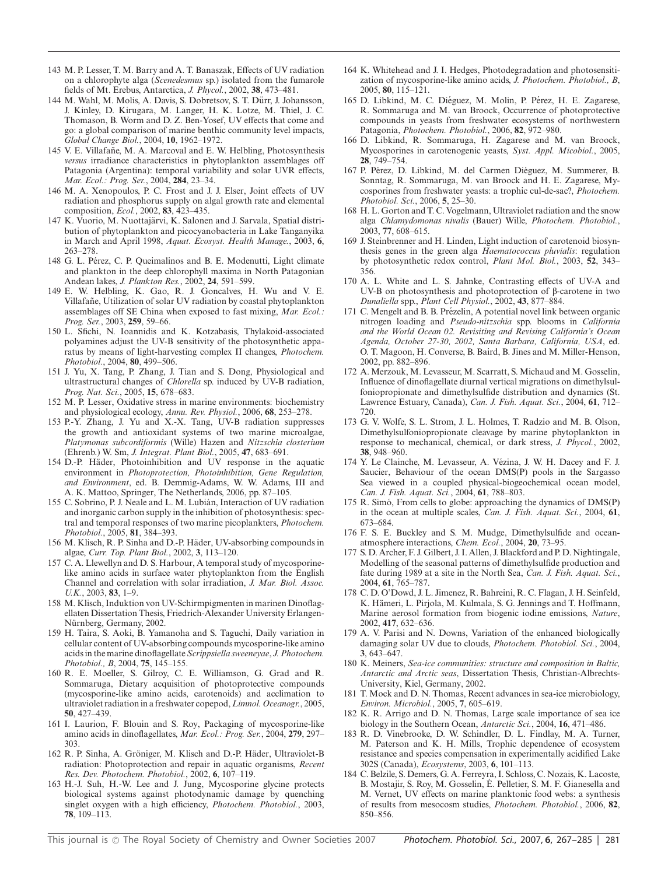- 143 M. P. Lesser, T. M. Barry and A. T. Banaszak, Effects of UV radiation on a chlorophyte alga (*Scenedesmus* sp.) isolated from the fumarole fields of Mt. Erebus, Antarctica, *J. Phycol.*, 2002, **38**, 473–481.
- 144 M. Wahl, M. Molis, A. Davis, S. Dobretsov, S. T. Durr, J. Johansson, ¨ J. Kinley, D. Kirugara, M. Langer, H. K. Lotze, M. Thiel, J. C. Thomason, B. Worm and D. Z. Ben-Yosef, UV effects that come and go: a global comparison of marine benthic community level impacts, *Global Change Biol.*, 2004, **10**, 1962–1972.
- 145 V. E. Villafañe, M. A. Marcoval and E. W. Helbling, Photosynthesis *versus* irradiance characteristics in phytoplankton assemblages off Patagonia (Argentina): temporal variability and solar UVR effects, *Mar. Ecol.: Prog. Ser.*, 2004, **284**, 23–34.
- 146 M. A. Xenopoulos, P. C. Frost and J. J. Elser, Joint effects of UV radiation and phosphorus supply on algal growth rate and elemental composition, *Ecol.*, 2002, **83**, 423–435.
- 147 K. Vuorio, M. Nuottajärvi, K. Salonen and J. Sarvala, Spatial distribution of phytoplankton and picocyanobacteria in Lake Tanganyika in March and April 1998, *Aquat. Ecosyst. Health Manage.*, 2003, **6**, 263–278.
- 148 G. L. Pérez, C. P. Queimalinos and B. E. Modenutti, Light climate and plankton in the deep chlorophyll maxima in North Patagonian Andean lakes, *J. Plankton Res.*, 2002, **24**, 591–599.
- 149 E. W. Helbling, K. Gao, R. J. Goncalves, H. Wu and V. E. Villafañe, Utilization of solar UV radiation by coastal phytoplankton assemblages off SE China when exposed to fast mixing, *Mar. Ecol.: Prog. Ser.*, 2003, **259**, 59–66.
- 150 L. Sfichi, N. Ioannidis and K. Kotzabasis, Thylakoid-associated polyamines adjust the UV-B sensitivity of the photosynthetic apparatus by means of light-harvesting complex II changes, *Photochem. Photobiol.*, 2004, **80**, 499–506.
- 151 J. Yu, X. Tang, P. Zhang, J. Tian and S. Dong, Physiological and ultrastructural changes of *Chlorella* sp. induced by UV-B radiation, *Prog. Nat. Sci.*, 2005, **15**, 678–683.
- 152 M. P. Lesser, Oxidative stress in marine environments: biochemistry and physiological ecology, *Annu. Rev. Physiol.*, 2006, **68**, 253–278.
- 153 P.-Y. Zhang, J. Yu and X.-X. Tang, UV-B radiation suppresses the growth and antioxidant systems of two marine microalgae, *Platymonas subcordiformis* (Wille) Hazen and *Nitzschia closterium* (Ehrenb.) W. Sm, *J. Integrat. Plant Biol.*, 2005, **47**, 683–691.
- 154 D.-P. Häder, Photoinhibition and UV response in the aquatic environment in *Photoprotection, Photoinhibition, Gene Regulation, and Environment*, ed. B. Demmig-Adams, W. W. Adams, III and A. K. Mattoo, Springer, The Netherlands, 2006, pp. 87–105.
- 155 C. Sobrino, P. J. Neale and L. M. Lubian, Interaction of UV radiation ´ and inorganic carbon supply in the inhibition of photosynthesis: spectral and temporal responses of two marine picoplankters, *Photochem. Photobiol.*, 2005, **81**, 384–393.
- 156 M. Klisch, R. P. Sinha and D.-P. Hader, UV-absorbing compounds in ¨ algae, *Curr. Top. Plant Biol.*, 2002, **3**, 113–120.
- 157 C. A. Llewellyn and D. S. Harbour, A temporal study of mycosporinelike amino acids in surface water phytoplankton from the English Channel and correlation with solar irradiation, *J. Mar. Biol. Assoc. U.K.*, 2003, **83**, 1–9.
- 158 M. Klisch, Induktion von UV-Schirmpigmenten in marinen Dinoflagellaten Dissertation Thesis, Friedrich-Alexander University Erlangen-Nürnberg, Germany, 2002.
- 159 H. Taira, S. Aoki, B. Yamanoha and S. Taguchi, Daily variation in cellular content of UV-absorbing compounds mycosporine-like amino acids in the marine dinoflagellate *Scrippsiella sweeneyae*, *J. Photochem. Photobiol., B*, 2004, **75**, 145–155.
- 160 R. E. Moeller, S. Gilroy, C. E. Williamson, G. Grad and R. Sommaruga, Dietary acquisition of photoprotective compounds (mycosporine-like amino acids, carotenoids) and acclimation to ultraviolet radiation in a freshwater copepod,*Limnol. Oceanogr.*, 2005, **50**, 427–439.
- 161 I. Laurion, F. Blouin and S. Roy, Packaging of mycosporine-like amino acids in dinoflagellates, *Mar. Ecol.: Prog. Ser.*, 2004, **279**, 297– 303.
- 162 R. P. Sinha, A. Gröniger, M. Klisch and D.-P. Häder, Ultraviolet-B radiation: Photoprotection and repair in aquatic organisms, *Recent Res. Dev. Photochem. Photobiol.*, 2002, **6**, 107–119.
- 163 H.-J. Suh, H.-W. Lee and J. Jung, Mycosporine glycine protects biological systems against photodynamic damage by quenching singlet oxygen with a high efficiency, *Photochem. Photobiol.*, 2003, **78**, 109–113.
- 164 K. Whitehead and J. I. Hedges, Photodegradation and photosensitization of mycosporine-like amino acids, *J. Photochem. Photobiol., B*, 2005, **80**, 115–121.
- 165 D. Libkind, M. C. Diéguez, M. Molin, P. Pérez, H. E. Zagarese, R. Sommaruga and M. van Broock, Occurrence of photoprotective compounds in yeasts from freshwater ecosystems of northwestern Patagonia, *Photochem. Photobiol.*, 2006, **82**, 972–980.
- 166 D. Libkind, R. Sommaruga, H. Zagarese and M. van Broock, Mycosporines in carotenogenic yeasts, *Syst. Appl. Micobiol.*, 2005, **28**, 749–754.
- 167 P. Pérez, D. Libkind, M. del Carmen Diéguez, M. Summerer, B. Sonntag, R. Sommaruga, M. van Broock and H. E. Zagarese, Mycosporines from freshwater yeasts: a trophic cul-de-sac?, *Photochem. Photobiol. Sci.*, 2006, **5**, 25–30.
- 168 H. L. Gorton and T. C. Vogelmann, Ultraviolet radiation and the snow alga *Chlamydomonas nivalis* (Bauer) Wille, *Photochem. Photobiol.*, 2003, **77**, 608–615.
- 169 J. Steinbrenner and H. Linden, Light induction of carotenoid biosynthesis genes in the green alga *Haematococcus pluvialis*: regulation by photosynthetic redox control, *Plant Mol. Biol.*, 2003, **52**, 343– 356.
- 170 A. L. White and L. S. Jahnke, Contrasting effects of UV-A and UV-B on photosynthesis and photoprotection of  $\beta$ -carotene in two *Dunaliella* spp., *Plant Cell Physiol.*, 2002, **43**, 877–884.
- 171 C. Mengelt and B. B. Prézelin, A potential novel link between organic nitrogen loading and *Pseudo-nitzschia* spp. blooms in *California and the World Ocean 02. Revisiting and Revising California's Ocean Agenda, October 27-30, 2002, Santa Barbara, California, USA*, ed. O. T. Magoon, H. Converse, B. Baird, B. Jines and M. Miller-Henson, 2002, pp. 882–896.
- 172 A. Merzouk, M. Levasseur, M. Scarratt, S. Michaud and M. Gosselin, Influence of dinoflagellate diurnal vertical migrations on dimethylsulfoniopropionate and dimethylsulfide distribution and dynamics (St. Lawrence Estuary, Canada), *Can. J. Fish. Aquat. Sci.*, 2004, **61**, 712– 720.
- 173 G. V. Wolfe, S. L. Strom, J. L. Holmes, T. Radzio and M. B. Olson, Dimethylsulfoniopropionate cleavage by marine phytoplankton in response to mechanical, chemical, or dark stress, *J. Phycol.*, 2002, **38**, 948–960.
- 174 Y. Le Clainche, M. Levasseur, A. Vezina, J. W. H. Dacey and F. J. ´ Saucier, Behaviour of the ocean DMS(P) pools in the Sargasso Sea viewed in a coupled physical-biogeochemical ocean model, *Can. J. Fish. Aquat. Sci.*, 2004, **61**, 788–803.
- 175 R. Simó, From cells to globe: approaching the dynamics of DMS(P) in the ocean at multiple scales, *Can. J. Fish. Aquat. Sci.*, 2004, **61**, 673–684.
- 176 F. S. E. Buckley and S. M. Mudge, Dimethylsulfide and oceanatmosphere interactions, *Chem. Ecol.*, 2004, **20**, 73–95.
- 177 S. D. Archer, F. J. Gilbert, J. I. Allen, J. Blackford and P. D. Nightingale, Modelling of the seasonal patterns of dimethylsulfide production and fate during 1989 at a site in the North Sea, *Can. J. Fish. Aquat. Sci.*, 2004, **61**, 765–787.
- 178 C. D. O'Dowd, J. L. Jimenez, R. Bahreini, R. C. Flagan, J. H. Seinfeld, K. Hämeri, L. Pirjola, M. Kulmala, S. G. Jennings and T. Hoffmann, Marine aerosol formation from biogenic iodine emissions, *Nature*, 2002, **417**, 632–636.
- 179 A. V. Parisi and N. Downs, Variation of the enhanced biologically damaging solar UV due to clouds, *Photochem. Photobiol. Sci.*, 2004, **3**, 643–647.
- 180 K. Meiners, *Sea-ice communities: structure and composition in Baltic, Antarctic and Arctic seas*, Dissertation Thesis, Christian-Albrechts-University, Kiel, Germany, 2002.
- 181 T. Mock and D. N. Thomas, Recent advances in sea-ice microbiology, *Environ. Microbiol.*, 2005, **7**, 605–619.
- 182 K. R. Arrigo and D. N. Thomas, Large scale importance of sea ice biology in the Southern Ocean, *Antarctic Sci.*, 2004, **16**, 471–486.
- 183 R. D. Vinebrooke, D. W. Schindler, D. L. Findlay, M. A. Turner, M. Paterson and K. H. Mills, Trophic dependence of ecosystem resistance and species compensation in experimentally acidified Lake 302S (Canada), *Ecosystems*, 2003, **6**, 101–113.
- 184 C. Belzile, S. Demers, G. A. Ferreyra, I. Schloss, C. Nozais, K. Lacoste, B. Mostajir, S. Roy, M. Gosselin, E. Pelletier, S. M. F. Gianesella and ´ M. Vernet, UV effects on marine planktonic food webs: a synthesis of results from mesocosm studies, *Photochem. Photobiol.*, 2006, **82**, 850–856.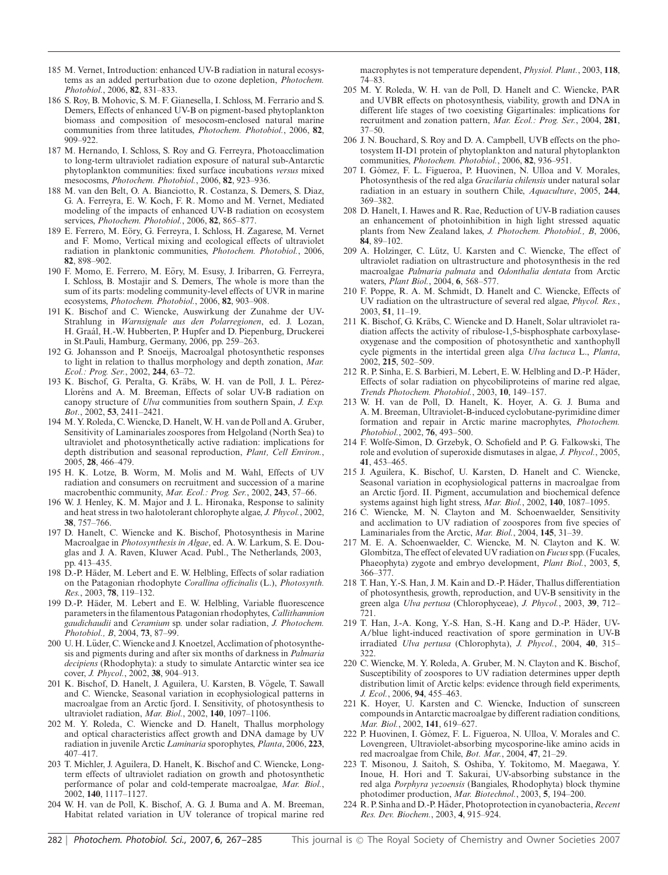- 185 M. Vernet, Introduction: enhanced UV-B radiation in natural ecosystems as an added perturbation due to ozone depletion, *Photochem. Photobiol.*, 2006, **82**, 831–833.
- 186 S. Roy, B. Mohovic, S. M. F. Gianesella, I. Schloss, M. Ferrario and S. Demers, Effects of enhanced UV-B on pigment-based phytoplankton biomass and composition of mesocosm-enclosed natural marine communities from three latitudes, *Photochem. Photobiol.*, 2006, **82**, 909–922.
- 187 M. Hernando, I. Schloss, S. Roy and G. Ferreyra, Photoacclimation to long-term ultraviolet radiation exposure of natural sub-Antarctic phytoplankton communities: fixed surface incubations *versus* mixed mesocosms, *Photochem. Photobiol.*, 2006, **82**, 923–936.
- 188 M. van den Belt, O. A. Bianciotto, R. Costanza, S. Demers, S. Diaz, G. A. Ferreyra, E. W. Koch, F. R. Momo and M. Vernet, Mediated modeling of the impacts of enhanced UV-B radiation on ecosystem services, *Photochem. Photobiol.*, 2006, **82**, 865–877.
- 189 E. Ferrero, M. Eory, G. Ferreyra, I. Schloss, H. Zagarese, M. Vernet ¨ and F. Momo, Vertical mixing and ecological effects of ultraviolet radiation in planktonic communities, *Photochem. Photobiol.*, 2006, **82**, 898–902.
- 190 F. Momo, E. Ferrero, M. Eory, M. Esusy, J. Iribarren, G. Ferreyra, ¨ I. Schloss, B. Mostajir and S. Demers, The whole is more than the sum of its parts: modeling community-level effects of UVR in marine ecosystems, *Photochem. Photobiol.*, 2006, **82**, 903–908.
- 191 K. Bischof and C. Wiencke, Auswirkung der Zunahme der UV-Strahlung in *Warnsignale aus den Polarregionen*, ed. J. Lozan, H. Graál, H.-W. Hubberten, P. Hupfer and D. Piepenburg, Druckerei in St.Pauli, Hamburg, Germany, 2006, pp. 259–263.
- 192 G. Johansson and P. Snoeijs, Macroalgal photosynthetic responses to light in relation to thallus morphology and depth zonation, *Mar. Ecol.: Prog. Ser.*, 2002, **244**, 63–72.
- 193 K. Bischof, G. Peralta, G. Kräbs, W. H. van de Poll, J. L. Pérez-Lloréns and A. M. Breeman, Effects of solar UV-B radiation on canopy structure of *Ulva* communities from southern Spain, *J. Exp. Bot.*, 2002, **53**, 2411–2421.
- 194 M. Y. Roleda, C. Wiencke, D. Hanelt, W. H. van de Poll and A. Gruber, Sensitivity of Laminariales zoospores from Helgoland (North Sea) to ultraviolet and photosynthetically active radiation: implications for depth distribution and seasonal reproduction, *Plant, Cell Environ.*, 2005, **28**, 466–479.
- 195 H. K. Lotze, B. Worm, M. Molis and M. Wahl, Effects of UV radiation and consumers on recruitment and succession of a marine macrobenthic community, *Mar. Ecol.: Prog. Ser.*, 2002, **243**, 57–66.
- 196 W. J. Henley, K. M. Major and J. L. Hironaka, Response to salinity and heat stress in two halotolerant chlorophyte algae, *J. Phycol.*, 2002, **38**, 757–766.
- 197 D. Hanelt, C. Wiencke and K. Bischof, Photosynthesis in Marine Macroalgae in *Photosynthesis in Algae*, ed. A. W. Larkum, S. E. Douglas and J. A. Raven, Kluwer Acad. Publ., The Netherlands, 2003, pp. 413–435.
- 198 D.-P. Häder, M. Lebert and E. W. Helbling, Effects of solar radiation on the Patagonian rhodophyte *Corallina officinalis* (L.), *Photosynth. Res.*, 2003, **78**, 119–132.
- 199 D.-P. Häder, M. Lebert and E. W. Helbling, Variable fluorescence parameters in the filamentous Patagonian rhodophytes, *Callithamnion gaudichaudii* and *Ceramium* sp. under solar radiation, *J. Photochem. Photobiol., B*, 2004, **73**, 87–99.
- 200 U. H. Lüder, C. Wiencke and J. Knoetzel, Acclimation of photosynthesis and pigments during and after six months of darkness in *Palmaria decipiens* (Rhodophyta): a study to simulate Antarctic winter sea ice cover, *J. Phycol.*, 2002, **38**, 904–913.
- 201 K. Bischof, D. Hanelt, J. Aguilera, U. Karsten, B. Vögele, T. Sawall and C. Wiencke, Seasonal variation in ecophysiological patterns in macroalgae from an Arctic fjord. I. Sensitivity, of photosynthesis to ultraviolet radiation, *Mar. Biol.*, 2002, **140**, 1097–1106.
- 202 M. Y. Roleda, C. Wiencke and D. Hanelt, Thallus morphology and optical characteristics affect growth and DNA damage by UV radiation in juvenile Arctic *Laminaria* sporophytes, *Planta*, 2006, **223**, 407–417.
- 203 T. Michler, J. Aguilera, D. Hanelt, K. Bischof and C. Wiencke, Longterm effects of ultraviolet radiation on growth and photosynthetic performance of polar and cold-temperate macroalgae, *Mar. Biol.*, 2002, **140**, 1117–1127.
- 204 W. H. van de Poll, K. Bischof, A. G. J. Buma and A. M. Breeman, Habitat related variation in UV tolerance of tropical marine red

macrophytes is not temperature dependent, *Physiol. Plant.*, 2003, **118**, 74–83.

- 205 M. Y. Roleda, W. H. van de Poll, D. Hanelt and C. Wiencke, PAR and UVBR effects on photosynthesis, viability, growth and DNA in different life stages of two coexisting Gigartinales: implications for recruitment and zonation pattern, *Mar. Ecol.: Prog. Ser.*, 2004, **281**, 37–50.
- 206 J. N. Bouchard, S. Roy and D. A. Campbell, UVB effects on the photosystem II-D1 protein of phytoplankton and natural phytoplankton communities, *Photochem. Photobiol.*, 2006, **82**, 936–951.
- 207 I. Gómez, F. L. Figueroa, P. Huovinen, N. Ulloa and V. Morales, Photosynthesis of the red alga *Gracilaria chilensis* under natural solar radiation in an estuary in southern Chile, *Aquaculture*, 2005, **244**, 369–382.
- 208 D. Hanelt, I. Hawes and R. Rae, Reduction of UV-B radiation causes an enhancement of photoinhibition in high light stressed aquatic plants from New Zealand lakes, *J. Photochem. Photobiol., B*, 2006, **84**, 89–102.
- 209 A. Holzinger, C. Lütz, U. Karsten and C. Wiencke, The effect of ultraviolet radiation on ultrastructure and photosynthesis in the red macroalgae *Palmaria palmata* and *Odonthalia dentata* from Arctic waters, *Plant Biol.*, 2004, **6**, 568–577.
- 210 F. Poppe, R. A. M. Schmidt, D. Hanelt and C. Wiencke, Effects of UV radiation on the ultrastructure of several red algae, *Phycol. Res.*, 2003, **51**, 11–19.
- 211 K. Bischof, G. Kräbs, C. Wiencke and D. Hanelt, Solar ultraviolet radiation affects the activity of ribulose-1,5-bisphosphate carboxylaseoxygenase and the composition of photosynthetic and xanthophyll cycle pigments in the intertidal green alga *Ulva lactuca* L., *Planta*, 2002, **215**, 502–509.
- 212 R. P. Sinha, E. S. Barbieri, M. Lebert, E. W. Helbling and D.-P. Häder, Effects of solar radiation on phycobiliproteins of marine red algae, *Trends Photochem. Photobiol.*, 2003, **10**, 149–157.
- 213 W. H. van de Poll, D. Hanelt, K. Hoyer, A. G. J. Buma and A. M. Breeman, Ultraviolet-B-induced cyclobutane-pyrimidine dimer formation and repair in Arctic marine macrophytes, *Photochem. Photobiol.*, 2002, **76**, 493–500.
- 214 F. Wolfe-Simon, D. Grzebyk, O. Schofield and P. G. Falkowski, The role and evolution of superoxide dismutases in algae, *J. Phycol.*, 2005, **41**, 453–465.
- 215 J. Aguilera, K. Bischof, U. Karsten, D. Hanelt and C. Wiencke, Seasonal variation in ecophysiological patterns in macroalgae from an Arctic fjord. II. Pigment, accumulation and biochemical defence systems against high light stress, *Mar. Biol.*, 2002, **140**, 1087–1095.
- 216 C. Wiencke, M. N. Clayton and M. Schoenwaelder, Sensitivity and acclimation to UV radiation of zoospores from five species of Laminariales from the Arctic, *Mar. Biol.*, 2004, **145**, 31–39.
- 217 M. E. A. Schoenwaelder, C. Wiencke, M. N. Clayton and K. W. Glombitza, The effect of elevated UV radiation on *Fucus*spp. (Fucales, Phaeophyta) zygote and embryo development, *Plant Biol.*, 2003, **5**, 366–377.
- 218 T. Han, Y.-S. Han, J. M. Kain and D.-P. Hader, Thallus differentiation ¨ of photosynthesis, growth, reproduction, and UV-B sensitivity in the green alga *Ulva pertusa* (Chlorophyceae), *J. Phycol.*, 2003, **39**, 712– 721.
- 219 T. Han, J.-A. Kong, Y.-S. Han, S.-H. Kang and D.-P. Hader, UV- ¨ A/blue light-induced reactivation of spore germination in UV-B irradiated *Ulva pertusa* (Chlorophyta), *J. Phycol.*, 2004, **40**, 315– 322.
- 220 C. Wiencke, M. Y. Roleda, A. Gruber, M. N. Clayton and K. Bischof, Susceptibility of zoospores to UV radiation determines upper depth distribution limit of Arctic kelps: evidence through field experiments, *J. Ecol.*, 2006, **94**, 455–463.
- 221 K. Hoyer, U. Karsten and C. Wiencke, Induction of sunscreen compounds in Antarctic macroalgae by different radiation conditions, *Mar. Biol.*, 2002, **141**, 619–627.
- 222 P. Huovinen, I. Gómez, F. L. Figueroa, N. Ulloa, V. Morales and C. Lovengreen, Ultraviolet-absorbing mycosporine-like amino acids in red macroalgae from Chile, *Bot. Mar.*, 2004, **47**, 21–29.
- 223 T. Misonou, J. Saitoh, S. Oshiba, Y. Tokitomo, M. Maegawa, Y. Inoue, H. Hori and T. Sakurai, UV-absorbing substance in the red alga *Porphyra yezoensis* (Bangiales, Rhodophyta) block thymine photodimer production, *Mar. Biotechnol.*, 2003, **5**, 194–200.
- 224 R. P. Sinha and D.-P. Häder, Photoprotection in cyanobacteria, Recent *Res. Dev. Biochem.*, 2003, **4**, 915–924.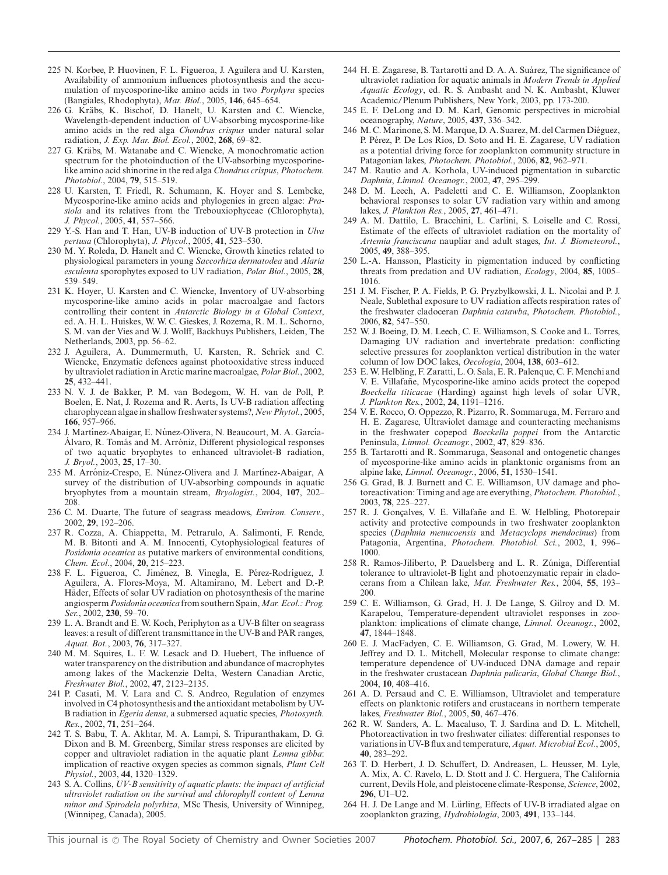- 225 N. Korbee, P. Huovinen, F. L. Figueroa, J. Aguilera and U. Karsten, Availability of ammonium influences photosynthesis and the accumulation of mycosporine-like amino acids in two *Porphyra* species (Bangiales, Rhodophyta), *Mar. Biol.*, 2005, **146**, 645–654.
- 226 G. Kräbs, K. Bischof, D. Hanelt, U. Karsten and C. Wiencke, Wavelength-dependent induction of UV-absorbing mycosporine-like amino acids in the red alga *Chondrus crispus* under natural solar radiation, *J. Exp. Mar. Biol. Ecol.*, 2002, **268**, 69–82.
- 227 G. Krabs, M. Watanabe and C. Wiencke, A monochromatic action ¨ spectrum for the photoinduction of the UV-absorbing mycosporinelike amino acid shinorine in the red alga *Chondrus crispus*, *Photochem. Photobiol.*, 2004, **79**, 515–519.
- 228 U. Karsten, T. Friedl, R. Schumann, K. Hoyer and S. Lembcke, Mycosporine-like amino acids and phylogenies in green algae: *Prasiola* and its relatives from the Trebouxiophyceae (Chlorophyta), *J. Phycol.*, 2005, **41**, 557–566.
- 229 Y.-S. Han and T. Han, UV-B induction of UV-B protection in *Ulva pertusa* (Chlorophyta), *J. Phycol.*, 2005, **41**, 523–530.
- 230 M. Y. Roleda, D. Hanelt and C. Wiencke, Growth kinetics related to physiological parameters in young *Saccorhiza dermatodea* and *Alaria esculenta* sporophytes exposed to UV radiation, *Polar Biol.*, 2005, **28**, 539–549.
- 231 K. Hoyer, U. Karsten and C. Wiencke, Inventory of UV-absorbing mycosporine-like amino acids in polar macroalgae and factors controlling their content in *Antarctic Biology in a Global Context*, ed. A. H. L. Huiskes, W. W. C. Gieskes, J. Rozema, R. M. L. Schorno, S. M. van der Vies and W. J. Wolff, Backhuys Publishers, Leiden, The Netherlands, 2003, pp. 56–62.
- 232 J. Aguilera, A. Dummermuth, U. Karsten, R. Schriek and C. Wiencke, Enzymatic defences against photooxidative stress induced by ultraviolet radiation in Arctic marine macroalgae, *Polar Biol.*, 2002, **25**, 432–441.
- 233 N. V. J. de Bakker, P. M. van Bodegom, W. H. van de Poll, P. Boelen, E. Nat, J. Rozema and R. Aerts, Is UV-B radiation affecting charophycean algae in shallow freshwater systems?,*New Phytol.*, 2005, **166**, 957–966.
- 234 J. Martínez-Abaigar, E. Núnez-Olivera, N. Beaucourt, M. A. García-Álvaro, R. Tomás and M. Arróniz, Different physiological responses of two aquatic bryophytes to enhanced ultraviolet-B radiation, *J. Bryol.*, 2003, **25**, 17–30.
- 235 M. Arróniz-Crespo, E. Núnez-Olivera and J. Martínez-Abaigar, A. survey of the distribution of UV-absorbing compounds in aquatic bryophytes from a mountain stream, *Bryologist.*, 2004, **107**, 202– 208.
- 236 C. M. Duarte, The future of seagrass meadows, *Environ. Conserv.*, 2002, **29**, 192–206.
- 237 R. Cozza, A. Chiappetta, M. Petrarulo, A. Salimonti, F. Rende, M. B. Bitonti and A. M. Innocenti, Cytophysiological features of *Posidonia oceanica* as putative markers of environmental conditions, *Chem. Ecol.*, 2004, **20**, 215–223.
- 238 F. L. Figueroa, C. Jiménez, B. Vinegla, E. Pérez-Rodríguez, J. Aguilera, A. Flores-Moya, M. Altamirano, M. Lebert and D.-P. Häder, Effects of solar UV radiation on photosynthesis of the marine angiosperm *Posidonia oceanica* from southern Spain,*Mar. Ecol.: Prog. Ser.*, 2002, **230**, 59–70.
- 239 L. A. Brandt and E. W. Koch, Periphyton as a UV-B filter on seagrass leaves: a result of different transmittance in the UV-B and PAR ranges, *Aquat. Bot.*, 2003, **76**, 317–327.
- 240 M. M. Squires, L. F. W. Lesack and D. Huebert, The influence of water transparency on the distribution and abundance of macrophytes among lakes of the Mackenzie Delta, Western Canadian Arctic, *Freshwater Biol.*, 2002, **47**, 2123–2135.
- 241 P. Casati, M. V. Lara and C. S. Andreo, Regulation of enzymes involved in C4 photosynthesis and the antioxidant metabolism by UV-B radiation in *Egeria densa*, a submersed aquatic species, *Photosynth. Res.*, 2002, **71**, 251–264.
- 242 T. S. Babu, T. A. Akhtar, M. A. Lampi, S. Tripuranthakam, D. G. Dixon and B. M. Greenberg, Similar stress responses are elicited by copper and ultraviolet radiation in the aquatic plant *Lemna gibba*: implication of reactive oxygen species as common signals, *Plant Cell Physiol.*, 2003, **44**, 1320–1329.
- 243 S. A. Collins, *UV-B sensitivity of aquatic plants: the impact of artificial ultraviolet radiation on the survival and chlorophyll content of Lemna minor and Spirodela polyrhiza*, MSc Thesis, University of Winnipeg, (Winnipeg, Canada), 2005.
- 244 H. E. Zagarese, B. Tartarotti and D. A. A. Suárez, The significance of ultraviolet radiation for aquatic animals in *Modern Trends in Applied Aquatic Ecology*, ed. R. S. Ambasht and N. K. Ambasht, Kluwer Academic/Plenum Publishers, New York, 2003, pp. 173-200.
- 245 E. F. DeLong and D. M. Karl, Genomic perspectives in microbial oceanography, *Nature*, 2005, **437**, 336–342.
- 246 M. C. Marinone, S. M. Marque, D. A. Suarez, M. del Carmen Diéguez, P. Pérez, P. De Los Ríos, D. Soto and H. E. Zagarese, UV radiation as a potential driving force for zooplankton community structure in Patagonian lakes, *Photochem. Photobiol.*, 2006, **82**, 962–971.
- 247 M. Rautio and A. Korhola, UV-induced pigmentation in subarctic *Daphnia*, *Limnol. Oceanogr.*, 2002, **47**, 295–299.
- 248 D. M. Leech, A. Padeletti and C. E. Williamson, Zooplankton behavioral responses to solar UV radiation vary within and among lakes, *J. Plankton Res.*, 2005, **27**, 461–471.
- 249 A. M. Dattilo, L. Bracchini, L. Carlini, S. Loiselle and C. Rossi, Estimate of the effects of ultraviolet radiation on the mortality of *Artemia franciscana* naupliar and adult stages, *Int. J. Biometeorol.*, 2005, **49**, 388–395.
- 250 L.-A. Hansson, Plasticity in pigmentation induced by conflicting threats from predation and UV radiation, *Ecology*, 2004, **85**, 1005– 1016.
- 251 J. M. Fischer, P. A. Fields, P. G. Pryzbylkowski, J. L. Nicolai and P. J. Neale, Sublethal exposure to UV radiation affects respiration rates of the freshwater cladoceran *Daphnia catawba*, *Photochem. Photobiol.*, 2006, **82**, 547–550.
- 252 W. J. Boeing, D. M. Leech, C. E. Williamson, S. Cooke and L. Torres, Damaging UV radiation and invertebrate predation: conflicting selective pressures for zooplankton vertical distribution in the water column of low DOC lakes, *Oecologia*, 2004, **138**, 603–612.
- 253 E. W. Helbling, F. Zaratti, L. O. Sala, E. R. Palenque, C. F. Menchi and V. E. Villafañe, Mycosporine-like amino acids protect the copepod *Boeckella titicacae* (Harding) against high levels of solar UVR, *J. Plankton Res.*, 2002, **24**, 1191–1216.
- 254 V. E. Rocco, O. Oppezzo, R. Pizarro, R. Sommaruga, M. Ferraro and H. E. Zagarese, Ultraviolet damage and counteracting mechanisms in the freshwater copepod *Boeckella poppei* from the Antarctic Peninsula, *Limnol. Oceanogr.*, 2002, **47**, 829–836.
- 255 B. Tartarotti and R. Sommaruga, Seasonal and ontogenetic changes of mycosporine-like amino acids in planktonic organisms from an alpine lake, *Limnol. Oceanogr.*, 2006, **51**, 1530–1541.
- 256 G. Grad, B. J. Burnett and C. E. Williamson, UV damage and photoreactivation: Timing and age are everything, *Photochem. Photobiol.*, 2003, **78**, 225–227.
- 257 R. J. Gonçalves, V. E. Villafañe and E. W. Helbling, Photorepair activity and protective compounds in two freshwater zooplankton species (*Daphnia menucoensis* and *Metacyclops mendocinus*) from Patagonia, Argentina, *Photochem. Photobiol. Sci.*, 2002, **1**, 996– 1000.
- 258 R. Ramos-Jiliberto, P. Dauelsberg and L. R. Zúniga, Differential tolerance to ultraviolet-B light and photoenzymatic repair in cladocerans from a Chilean lake, *Mar. Freshwater Res.*, 2004, **55**, 193– 200.
- 259 C. E. Williamson, G. Grad, H. J. De Lange, S. Gilroy and D. M. Karapelou, Temperature-dependent ultraviolet responses in zooplankton: implications of climate change, *Limnol. Oceanogr.*, 2002, **47**, 1844–1848.
- 260 E. J. MacFadyen, C. E. Williamson, G. Grad, M. Lowery, W. H. Jeffrey and D. L. Mitchell, Molecular response to climate change: temperature dependence of UV-induced DNA damage and repair in the freshwater crustacean *Daphnia pulicaria*, *Global Change Biol.*, 2004, **10**, 408–416.
- 261 A. D. Persaud and C. E. Williamson, Ultraviolet and temperature effects on planktonic rotifers and crustaceans in northern temperate lakes, *Freshwater Biol.*, 2005, **50**, 467–476.
- 262 R. W. Sanders, A. L. Macaluso, T. J. Sardina and D. L. Mitchell, Photoreactivation in two freshwater ciliates: differential responses to variations in UV-B flux and temperature, *Aquat.Microbial Ecol.*, 2005, **40**, 283–292.
- 263 T. D. Herbert, J. D. Schuffert, D. Andreasen, L. Heusser, M. Lyle, A. Mix, A. C. Ravelo, L. D. Stott and J. C. Herguera, The California current, Devils Hole, and pleistocene climate-Response, *Science*, 2002, **296**, U1–U2.
- 264 H. J. De Lange and M. Lürling, Effects of UV-B irradiated algae on zooplankton grazing, *Hydrobiologia*, 2003, **491**, 133–144.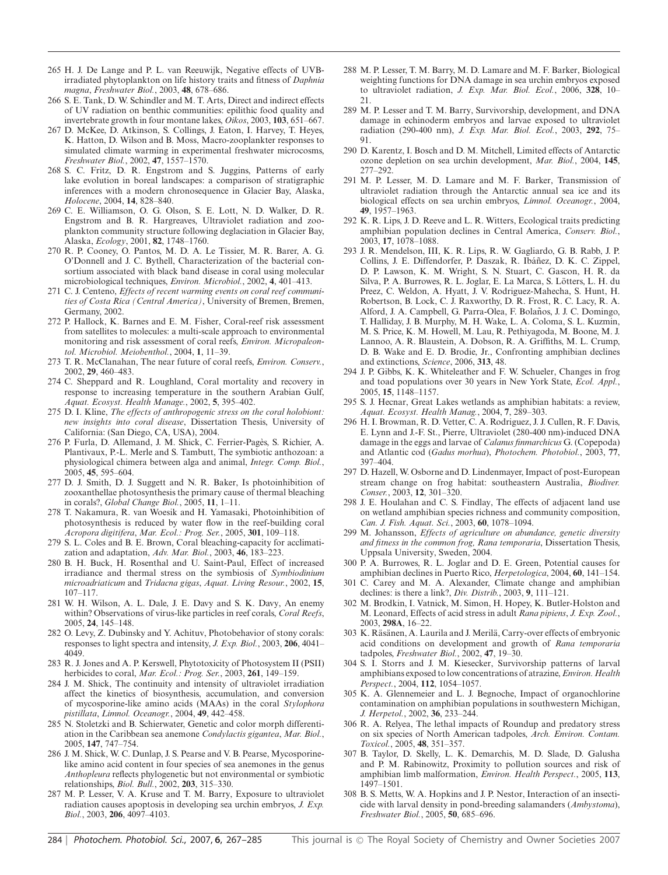- 265 H. J. De Lange and P. L. van Reeuwijk, Negative effects of UVBirradiated phytoplankton on life history traits and fitness of *Daphnia magna*, *Freshwater Biol.*, 2003, **48**, 678–686.
- 266 S. E. Tank, D. W. Schindler and M. T. Arts, Direct and indirect effects of UV radiation on benthic communities: epilithic food quality and invertebrate growth in four montane lakes, *Oikos*, 2003, **103**, 651–667.
- 267 D. McKee, D. Atkinson, S. Collings, J. Eaton, I. Harvey, T. Heyes, K. Hatton, D. Wilson and B. Moss, Macro-zooplankter responses to simulated climate warming in experimental freshwater microcosms, *Freshwater Biol.*, 2002, **47**, 1557–1570.
- 268 S. C. Fritz, D. R. Engstrom and S. Juggins, Patterns of early lake evolution in boreal landscapes: a comparison of stratigraphic inferences with a modern chronosequence in Glacier Bay, Alaska, *Holocene*, 2004, **14**, 828–840.
- 269 C. E. Williamson, O. G. Olson, S. E. Lott, N. D. Walker, D. R. Engstrom and B. R. Hargreaves, Ultraviolet radiation and zooplankton community structure following deglaciation in Glacier Bay, Alaska, *Ecology*, 2001, **82**, 1748–1760.
- 270 R. P. Cooney, O. Pantos, M. D. A. Le Tissier, M. R. Barer, A. G. O'Donnell and J. C. Bythell, Characterization of the bacterial consortium associated with black band disease in coral using molecular microbiological techniques, *Environ. Microbiol.*, 2002, **4**, 401–413.
- 271 C. J. Centeno, *Effects of recent warming events on coral reef communities of Costa Rica (Central America)*, University of Bremen, Bremen, Germany, 2002.
- 272 P. Hallock, K. Barnes and E. M. Fisher, Coral-reef risk assessment from satellites to molecules: a multi-scale approach to environmental monitoring and risk assessment of coral reefs, *Environ. Micropaleontol. Microbiol. Meiobenthol.*, 2004, **1**, 11–39.
- 273 T. R. McClanahan, The near future of coral reefs, *Environ. Conserv.*, 2002, **29**, 460–483.
- 274 C. Sheppard and R. Loughland, Coral mortality and recovery in response to increasing temperature in the southern Arabian Gulf, *Aquat. Ecosyst. Health Manage.*, 2002, **5**, 395–402.
- 275 D. I. Kline, *The effects of anthropogenic stress on the coral holobiont: new insights into coral disease*, Dissertation Thesis, University of California: (San Diego, CA, USA), 2004.
- 276 P. Furla, D. Allemand, J. M. Shick, C. Ferrier-Pages, S. Richier, A. ` Plantivaux, P.-L. Merle and S. Tambutt, The symbiotic anthozoan: a physiological chimera between alga and animal, *Integr. Comp. Biol.*, 2005, **45**, 595–604.
- 277 D. J. Smith, D. J. Suggett and N. R. Baker, Is photoinhibition of zooxanthellae photosynthesis the primary cause of thermal bleaching in corals?, *Global Change Biol.*, 2005, **11**, 1–11.
- 278 T. Nakamura, R. van Woesik and H. Yamasaki, Photoinhibition of photosynthesis is reduced by water flow in the reef-building coral *Acropora digitifera*, *Mar. Ecol.: Prog. Ser.*, 2005, **301**, 109–118.
- 279 S. L. Coles and B. E. Brown, Coral bleaching-capacity for acclimatization and adaptation, *Adv. Mar. Biol.*, 2003, **46**, 183–223.
- 280 B. H. Buck, H. Rosenthal and U. Saint-Paul, Effect of increased irradiance and thermal stress on the symbiosis of *Symbiodinium microadriaticum* and *Tridacna gigas*, *Aquat. Living Resour.*, 2002, **15**, 107–117.
- 281 W. H. Wilson, A. L. Dale, J. E. Davy and S. K. Davy, An enemy within? Observations of virus-like particles in reef corals, *Coral Reefs*, 2005, **24**, 145–148.
- 282 O. Levy, Z. Dubinsky and Y. Achituv, Photobehavior of stony corals: responses to light spectra and intensity, *J. Exp. Biol.*, 2003, **206**, 4041– 4049.
- 283 R. J. Jones and A. P. Kerswell, Phytotoxicity of Photosystem II (PSII) herbicides to coral, *Mar. Ecol.: Prog. Ser.*, 2003, **261**, 149–159.
- 284 J. M. Shick, The continuity and intensity of ultraviolet irradiation affect the kinetics of biosynthesis, accumulation, and conversion of mycosporine-like amino acids (MAAs) in the coral *Stylophora pistillata*, *Limnol. Oceanogr.*, 2004, **49**, 442–458.
- 285 N. Stoletzki and B. Schierwater, Genetic and color morph differentiation in the Caribbean sea anemone *Condylactis gigantea*, *Mar. Biol.*, 2005, **147**, 747–754.
- 286 J. M. Shick, W. C. Dunlap, J. S. Pearse and V. B. Pearse, Mycosporinelike amino acid content in four species of sea anemones in the genus *Anthopleura* reflects phylogenetic but not environmental or symbiotic relationships, *Biol. Bull.*, 2002, **203**, 315–330.
- 287 M. P. Lesser, V. A. Kruse and T. M. Barry, Exposure to ultraviolet radiation causes apoptosis in developing sea urchin embryos, *J. Exp. Biol.*, 2003, **206**, 4097–4103.
- 288 M. P. Lesser, T. M. Barry, M. D. Lamare and M. F. Barker, Biological weighting functions for DNA damage in sea urchin embryos exposed to ultraviolet radiation, *J. Exp. Mar. Biol. Ecol.*, 2006, **328**, 10– 21.
- 289 M. P. Lesser and T. M. Barry, Survivorship, development, and DNA damage in echinoderm embryos and larvae exposed to ultraviolet radiation (290-400 nm), *J. Exp. Mar. Biol. Ecol.*, 2003, **292**, 75– 91.
- 290 D. Karentz, I. Bosch and D. M. Mitchell, Limited effects of Antarctic ozone depletion on sea urchin development, *Mar. Biol.*, 2004, **145**, 277–292.
- 291 M. P. Lesser, M. D. Lamare and M. F. Barker, Transmission of ultraviolet radiation through the Antarctic annual sea ice and its biological effects on sea urchin embryos, *Limnol. Oceanogr.*, 2004, **49**, 1957–1963.
- 292 K. R. Lips, J. D. Reeve and L. R. Witters, Ecological traits predicting amphibian population declines in Central America, *Conserv. Biol.*, 2003, **17**, 1078–1088.
- 293 J. R. Mendelson, III, K. R. Lips, R. W. Gagliardo, G. B. Rabb, J. P. Collins, J. E. Diffendorfer, P. Daszak, R. Ibáñez, D. K. C. Zippel, D. P. Lawson, K. M. Wright, S. N. Stuart, C. Gascon, H. R. da Silva, P. A. Burrowes, R. L. Joglar, E. La Marca, S. Lotters, L. H. du ¨ Preez, C. Weldon, A. Hyatt, J. V. Rodriguez-Mahecha, S. Hunt, H. Robertson, B. Lock, C. J. Raxworthy, D. R. Frost, R. C. Lacy, R. A. Alford, J. A. Campbell, G. Parra-Olea, F. Bolaños, J. J. C. Domingo, T. Halliday, J. B. Murphy, M. H. Wake, L. A. Coloma, S. L. Kuzmin, M. S. Price, K. M. Howell, M. Lau, R. Pethiyagoda, M. Boone, M. J. Lannoo, A. R. Blaustein, A. Dobson, R. A. Griffiths, M. L. Crump, D. B. Wake and E. D. Brodie, Jr., Confronting amphibian declines and extinctions, *Science*, 2006, **313**, 48.
- 294 J. P. Gibbs, K. K. Whiteleather and F. W. Schueler, Changes in frog and toad populations over 30 years in New York State, *Ecol. Appl.*, 2005, **15**, 1148–1157.
- 295 S. J. Hecnar, Great Lakes wetlands as amphibian habitats: a review, *Aquat. Ecosyst. Health Manag.*, 2004, **7**, 289–303.
- 296 H. I. Browman, R. D. Vetter, C. A. Rodriguez, J. J. Cullen, R. F. Davis, E. Lynn and J.-F. St., Pierre, Ultraviolet (280-400 nm)-induced DNA damage in the eggs and larvae of *Calanus finmarchicus* G. (Copepoda) and Atlantic cod (*Gadus morhua*), *Photochem. Photobiol.*, 2003, **77**, 397–404.
- 297 D. Hazell, W. Osborne and D. Lindenmayer, Impact of post-European stream change on frog habitat: southeastern Australia, *Biodiver. Conser.*, 2003, **12**, 301–320.
- 298 J. E. Houlahan and C. S. Findlay, The effects of adjacent land use on wetland amphibian species richness and community composition, *Can. J. Fish. Aquat. Sci.*, 2003, **60**, 1078–1094.
- 299 M. Johansson, *Effects of agriculture on abundance, genetic diversity and fitness in the common frog, Rana temporaria*, Dissertation Thesis, Uppsala University, Sweden, 2004.
- 300 P. A. Burrowes, R. L. Joglar and D. E. Green, Potential causes for amphibian declines in Puerto Rico, *Herpetologica*, 2004, **60**, 141–154.
- 301 C. Carey and M. A. Alexander, Climate change and amphibian declines: is there a link?, *Div. Distrib.*, 2003, **9**, 111–121.
- 302 M. Brodkin, I. Vatnick, M. Simon, H. Hopey, K. Butler-Holston and M. Leonard, Effects of acid stress in adult *Rana pipiens*, *J. Exp. Zool.*, 2003, **298A**, 16–22.
- 303 K. Räsänen, A. Laurila and J. Merilä, Carry-over effects of embryonic acid conditions on development and growth of *Rana temporaria* tadpoles, *Freshwater Biol.*, 2002, **47**, 19–30.
- 304 S. I. Storrs and J. M. Kiesecker, Survivorship patterns of larval amphibians exposed to low concentrations of atrazine,*Environ. Health Perspect.*, 2004, **112**, 1054–1057.
- 305 K. A. Glennemeier and L. J. Begnoche, Impact of organochlorine contamination on amphibian populations in southwestern Michigan, *J. Herpetol.*, 2002, **36**, 233–244.
- 306 R. A. Relyea, The lethal impacts of Roundup and predatory stress on six species of North American tadpoles, *Arch. Environ. Contam. Toxicol.*, 2005, **48**, 351–357.
- 307 B. Taylor, D. Skelly, L. K. Demarchis, M. D. Slade, D. Galusha and P. M. Rabinowitz, Proximity to pollution sources and risk of amphibian limb malformation, *Environ. Health Perspect.*, 2005, **113**, 1497–1501.
- 308 B. S. Metts, W. A. Hopkins and J. P. Nestor, Interaction of an insecticide with larval density in pond-breeding salamanders (*Ambystoma*), *Freshwater Biol.*, 2005, **50**, 685–696.